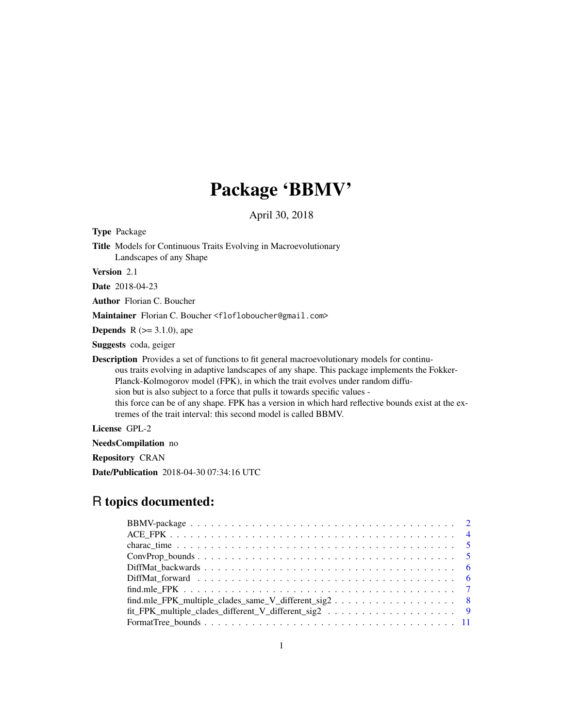# Package 'BBMV'

April 30, 2018

<span id="page-0-0"></span>

| <b>Type Package</b>    |                                                                                                                                                                                                                                                                                                                                                                                                                                                                                                                                              |
|------------------------|----------------------------------------------------------------------------------------------------------------------------------------------------------------------------------------------------------------------------------------------------------------------------------------------------------------------------------------------------------------------------------------------------------------------------------------------------------------------------------------------------------------------------------------------|
|                        | <b>Title</b> Models for Continuous Traits Evolving in Macroevolutionary<br>Landscapes of any Shape                                                                                                                                                                                                                                                                                                                                                                                                                                           |
| <b>Version</b> 2.1     |                                                                                                                                                                                                                                                                                                                                                                                                                                                                                                                                              |
| <b>Date</b> 2018-04-23 |                                                                                                                                                                                                                                                                                                                                                                                                                                                                                                                                              |
|                        | <b>Author</b> Florian C. Boucher                                                                                                                                                                                                                                                                                                                                                                                                                                                                                                             |
|                        | M <b>aintainer</b> Florian C. Boucher <flofloboucher@gmail.com></flofloboucher@gmail.com>                                                                                                                                                                                                                                                                                                                                                                                                                                                    |
|                        | <b>Depends</b> R ( $>=$ 3.1.0), ape                                                                                                                                                                                                                                                                                                                                                                                                                                                                                                          |
|                        | <b>Suggests</b> coda, geiger                                                                                                                                                                                                                                                                                                                                                                                                                                                                                                                 |
|                        | <b>Description</b> Provides a set of functions to fit general macroevolutionary models for continu-<br>ous traits evolving in adaptive landscapes of any shape. This package implements the Fokker-<br>Planck-Kolmogorov model (FPK), in which the trait evolves under random diffu-<br>sion but is also subject to a force that pulls it towards specific values -<br>this force can be of any shape. FPK has a version in which hard reflective bounds exist at the ex-<br>tremes of the trait interval: this second model is called BBMV. |

License GPL-2

NeedsCompilation no

Repository CRAN

Date/Publication 2018-04-30 07:34:16 UTC

# R topics documented:

| find.mle FPK_multiple_clades_same_V_different_sig2 8 |  |
|------------------------------------------------------|--|
|                                                      |  |
|                                                      |  |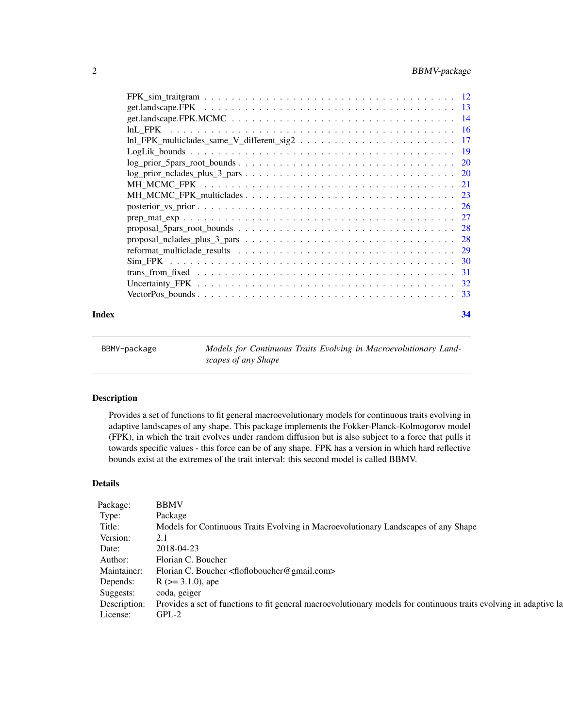## <span id="page-1-0"></span>2 BBMV-package

|       | $log\_prior\_nclades\_plus\_3\_pars \ldots \ldots \ldots \ldots \ldots \ldots \ldots \ldots \ldots \ldots 20$ |    |
|-------|---------------------------------------------------------------------------------------------------------------|----|
|       |                                                                                                               |    |
|       |                                                                                                               |    |
|       |                                                                                                               |    |
|       |                                                                                                               |    |
|       |                                                                                                               |    |
|       |                                                                                                               |    |
|       |                                                                                                               |    |
|       |                                                                                                               |    |
|       |                                                                                                               |    |
|       |                                                                                                               |    |
|       |                                                                                                               |    |
| Index |                                                                                                               | 34 |

BBMV-package *Models for Continuous Traits Evolving in Macroevolutionary Landscapes of any Shape*

## Description

Provides a set of functions to fit general macroevolutionary models for continuous traits evolving in adaptive landscapes of any shape. This package implements the Fokker-Planck-Kolmogorov model (FPK), in which the trait evolves under random diffusion but is also subject to a force that pulls it towards specific values - this force can be of any shape. FPK has a version in which hard reflective bounds exist at the extremes of the trait interval: this second model is called BBMV.

## Details

| Package:       | <b>BBMV</b>                                                                                                                    |
|----------------|--------------------------------------------------------------------------------------------------------------------------------|
| Type:          | Package                                                                                                                        |
| Title:         | Models for Continuous Traits Evolving in Macroevolutionary Landscapes of any Shape                                             |
| Version:       |                                                                                                                                |
| Date:          | 2018-04-23                                                                                                                     |
|                | Author: Florian C. Boucher                                                                                                     |
|                | Maintainer: Florian C. Boucher <flofloboucher@gmail.com></flofloboucher@gmail.com>                                             |
|                | Depends: $R (> = 3.1.0)$ , ape                                                                                                 |
|                | Suggests: coda, geiger                                                                                                         |
|                | Description: Provides a set of functions to fit general macroevolutionary models for continuous traits evolving in adaptive la |
| License: GPL-2 |                                                                                                                                |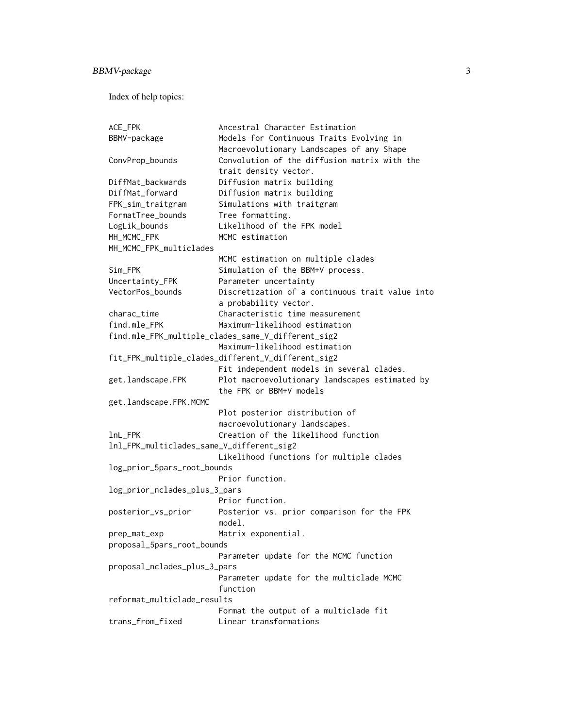Index of help topics:

```
ACE_FPK Ancestral Character Estimation
BBMV-package Models for Continuous Traits Evolving in
                     Macroevolutionary Landscapes of any Shape
ConvProp_bounds Convolution of the diffusion matrix with the
                     trait density vector.
DiffMat_backwards Diffusion matrix building
DiffMat_forward Diffusion matrix building
FPK_sim_traitgram Simulations with traitgram
FormatTree_bounds Tree formatting.
LogLik_bounds Likelihood of the FPK model
MH_MCMC_FPK MCMC estimation
MH_MCMC_FPK_multiclades
                     MCMC estimation on multiple clades
Sim_FPK Simulation of the BBM+V process.
Uncertainty_FPK Parameter uncertainty
VectorPos_bounds Discretization of a continuous trait value into
                     a probability vector.
charac_time Characteristic time measurement
find.mle_FPK Maximum-likelihood estimation
find.mle_FPK_multiple_clades_same_V_different_sig2
                     Maximum-likelihood estimation
fit_FPK_multiple_clades_different_V_different_sig2
                     Fit independent models in several clades.
get.landscape.FPK Plot macroevolutionary landscapes estimated by
                     the FPK or BBM+V models
get.landscape.FPK.MCMC
                     Plot posterior distribution of
                     macroevolutionary landscapes.
lnL_FPK Creation of the likelihood function
lnl_FPK_multiclades_same_V_different_sig2
                     Likelihood functions for multiple clades
log_prior_5pars_root_bounds
                     Prior function.
log_prior_nclades_plus_3_pars
                     Prior function.
posterior_vs_prior Posterior vs. prior comparison for the FPK
                     model.
prep_mat_exp Matrix exponential.
proposal_5pars_root_bounds
                     Parameter update for the MCMC function
proposal_nclades_plus_3_pars
                     Parameter update for the multiclade MCMC
                     function
reformat_multiclade_results
                     Format the output of a multiclade fit
trans_from_fixed Linear transformations
```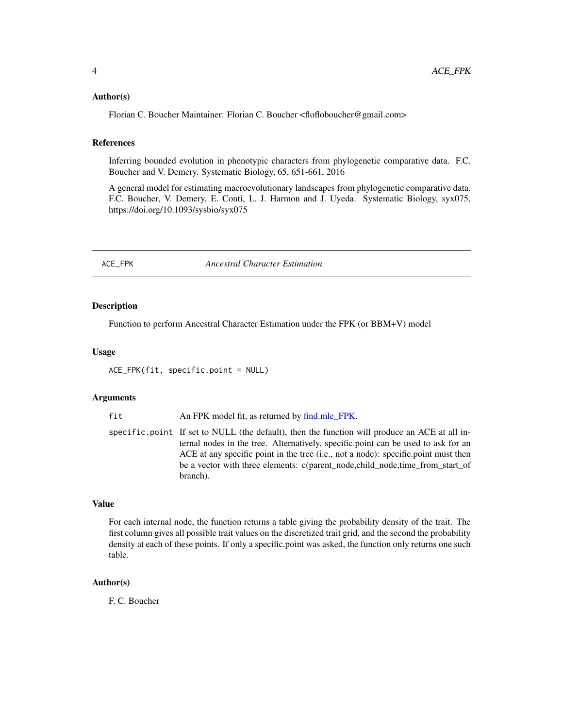#### <span id="page-3-0"></span>Author(s)

Florian C. Boucher Maintainer: Florian C. Boucher <flofloboucher@gmail.com>

#### References

Inferring bounded evolution in phenotypic characters from phylogenetic comparative data. F.C. Boucher and V. Demery. Systematic Biology, 65, 651-661, 2016

A general model for estimating macroevolutionary landscapes from phylogenetic comparative data. F.C. Boucher, V. Demery, E. Conti, L. J. Harmon and J. Uyeda. Systematic Biology, syx075, https://doi.org/10.1093/sysbio/syx075

ACE\_FPK *Ancestral Character Estimation*

#### **Description**

Function to perform Ancestral Character Estimation under the FPK (or BBM+V) model

#### Usage

ACE\_FPK(fit, specific.point = NULL)

#### Arguments

fit An FPK model fit, as returned by [find.mle\\_FPK.](#page-6-1)

specific.point If set to NULL (the default), then the function will produce an ACE at all internal nodes in the tree. Alternatively, specific.point can be used to ask for an ACE at any specific point in the tree (i.e., not a node): specific.point must then be a vector with three elements: c(parent\_node,child\_node,time\_from\_start\_of branch).

#### Value

For each internal node, the function returns a table giving the probability density of the trait. The first column gives all possible trait values on the discretized trait grid, and the second the probability density at each of these points. If only a specific.point was asked, the function only returns one such table.

#### Author(s)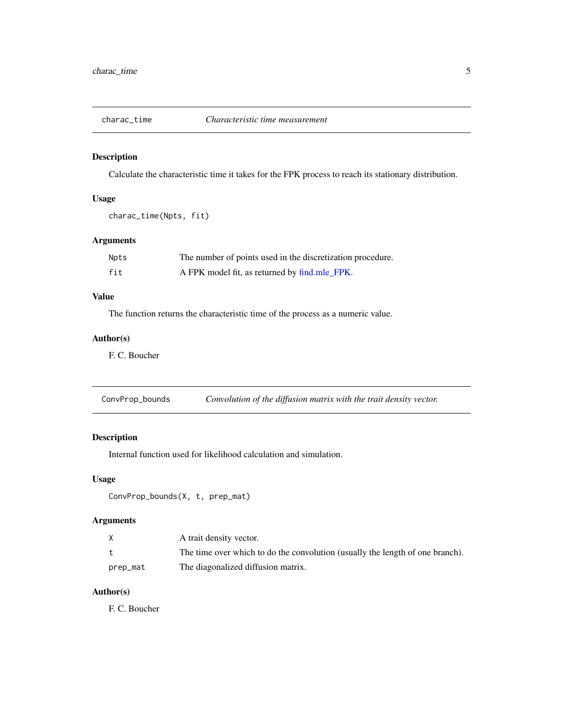<span id="page-4-0"></span>

## Description

Calculate the characteristic time it takes for the FPK process to reach its stationary distribution.

## Usage

```
charac_time(Npts, fit)
```
## Arguments

| Npts | The number of points used in the discretization procedure. |
|------|------------------------------------------------------------|
| fit  | A FPK model fit, as returned by find.mle_FPK.              |

## Value

The function returns the characteristic time of the process as a numeric value.

## Author(s)

F. C. Boucher

| ConvProp_bounds | Convolution of the diffusion matrix with the trait density vector. |  |
|-----------------|--------------------------------------------------------------------|--|
|                 |                                                                    |  |

## Description

Internal function used for likelihood calculation and simulation.

## Usage

```
ConvProp_bounds(X, t, prep_mat)
```
## Arguments

| X        | A trait density vector.                                                       |
|----------|-------------------------------------------------------------------------------|
|          | The time over which to do the convolution (usually the length of one branch). |
| prep_mat | The diagonalized diffusion matrix.                                            |

## Author(s)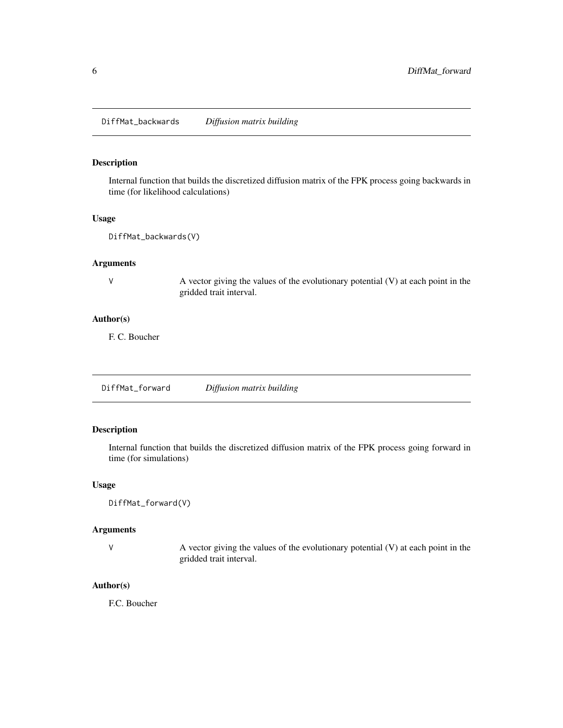<span id="page-5-0"></span>DiffMat\_backwards *Diffusion matrix building*

## Description

Internal function that builds the discretized diffusion matrix of the FPK process going backwards in time (for likelihood calculations)

## Usage

DiffMat\_backwards(V)

## Arguments

V A vector giving the values of the evolutionary potential (V) at each point in the gridded trait interval.

## Author(s)

F. C. Boucher

DiffMat\_forward *Diffusion matrix building*

## Description

Internal function that builds the discretized diffusion matrix of the FPK process going forward in time (for simulations)

## Usage

DiffMat\_forward(V)

## Arguments

V A vector giving the values of the evolutionary potential (V) at each point in the gridded trait interval.

## Author(s)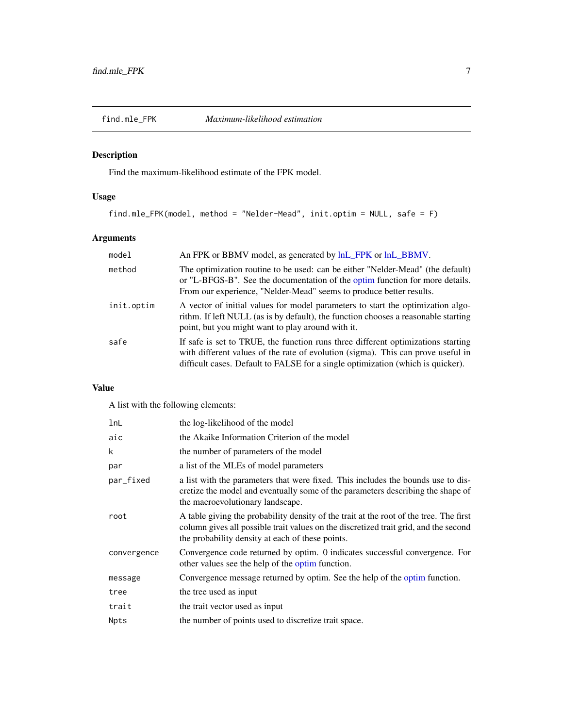<span id="page-6-1"></span><span id="page-6-0"></span>

## Description

Find the maximum-likelihood estimate of the FPK model.

## Usage

find.mle\_FPK(model, method = "Nelder-Mead", init.optim = NULL, safe = F)

## Arguments

| model      | An FPK or BBMV model, as generated by $lnL$ FPK or $lnL$ BBMV.                                                                                                                                                                                          |
|------------|---------------------------------------------------------------------------------------------------------------------------------------------------------------------------------------------------------------------------------------------------------|
| method     | The optimization routine to be used: can be either "Nelder-Mead" (the default)<br>or "L-BFGS-B". See the documentation of the optim function for more details.<br>From our experience, "Nelder-Mead" seems to produce better results.                   |
| init.optim | A vector of initial values for model parameters to start the optimization algo-<br>rithm. If left NULL (as is by default), the function chooses a reasonable starting<br>point, but you might want to play around with it.                              |
| safe       | If safe is set to TRUE, the function runs three different optimizations starting<br>with different values of the rate of evolution (sigma). This can prove useful in<br>difficult cases. Default to FALSE for a single optimization (which is quicker). |

## Value

A list with the following elements:

| lnL         | the log-likelihood of the model                                                                                                                                                                                                    |
|-------------|------------------------------------------------------------------------------------------------------------------------------------------------------------------------------------------------------------------------------------|
| aic         | the Akaike Information Criterion of the model                                                                                                                                                                                      |
| k           | the number of parameters of the model                                                                                                                                                                                              |
| par         | a list of the MLEs of model parameters                                                                                                                                                                                             |
| par_fixed   | a list with the parameters that were fixed. This includes the bounds use to dis-<br>cretize the model and eventually some of the parameters describing the shape of<br>the macroevolutionary landscape.                            |
| root        | A table giving the probability density of the trait at the root of the tree. The first<br>column gives all possible trait values on the discretized trait grid, and the second<br>the probability density at each of these points. |
| convergence | Convergence code returned by optim. 0 indicates successful convergence. For<br>other values see the help of the optim function.                                                                                                    |
| message     | Convergence message returned by optim. See the help of the optim function.                                                                                                                                                         |
| tree        | the tree used as input                                                                                                                                                                                                             |
| trait       | the trait vector used as input                                                                                                                                                                                                     |
| Npts        | the number of points used to discretize trait space.                                                                                                                                                                               |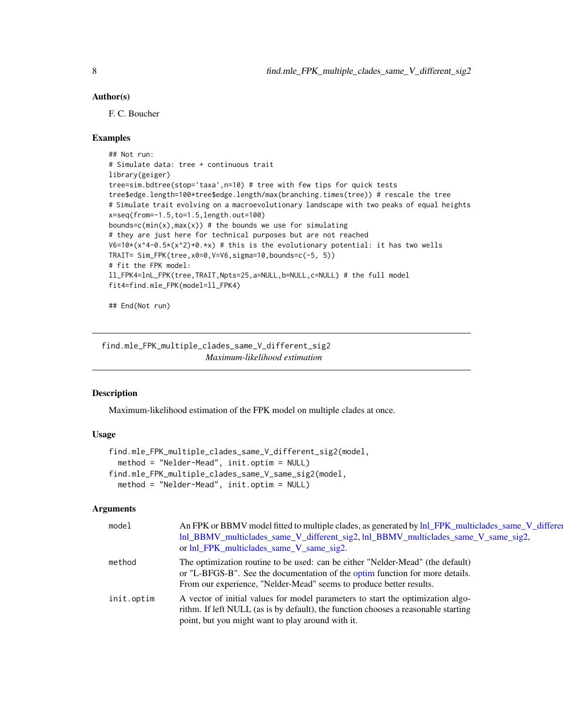#### <span id="page-7-0"></span>Author(s)

F. C. Boucher

#### Examples

```
## Not run:
# Simulate data: tree + continuous trait
library(geiger)
tree=sim.bdtree(stop='taxa',n=10) # tree with few tips for quick tests
tree$edge.length=100*tree$edge.length/max(branching.times(tree)) # rescale the tree
# Simulate trait evolving on a macroevolutionary landscape with two peaks of equal heights
x=seq(from=-1.5,to=1.5,length.out=100)
bounds=c(min(x), max(x)) # the bounds we use for simulating
# they are just here for technical purposes but are not reached
V6=10*(x^4-0.5*(x^2)+0.*x) # this is the evolutionary potential: it has two wells
TRAIT= Sim_FPK(tree,x0=0,V=V6,sigma=10,bounds=c(-5, 5))
# fit the FPK model:
ll_FPK4=lnL_FPK(tree,TRAIT,Npts=25,a=NULL,b=NULL,c=NULL) # the full model
fit4=find.mle_FPK(model=ll_FPK4)
```
## End(Not run)

<span id="page-7-1"></span>find.mle\_FPK\_multiple\_clades\_same\_V\_different\_sig2 *Maximum-likelihood estimation*

## <span id="page-7-2"></span>Description

Maximum-likelihood estimation of the FPK model on multiple clades at once.

## Usage

```
find.mle_FPK_multiple_clades_same_V_different_sig2(model,
 method = "Nelder-Mead", init.optim = NULL)
find.mle_FPK_multiple_clades_same_V_same_sig2(model,
 method = "Nelder-Mead", init.optim = NULL)
```
#### Arguments

| model      | An FPK or BBMV model fitted to multiple clades, as generated by lnl_FPK_multiclades_same_V_differen<br>lnl_BBMV_multiclades_same_V_different_sig2, lnl_BBMV_multiclades_same_V_same_sig2,<br>or lnl_FPK_multiclades_same_V_same_sig2. |
|------------|---------------------------------------------------------------------------------------------------------------------------------------------------------------------------------------------------------------------------------------|
| method     | The optimization routine to be used: can be either "Nelder-Mead" (the default)<br>or "L-BFGS-B". See the documentation of the optim function for more details.<br>From our experience, "Nelder-Mead" seems to produce better results. |
| init.optim | A vector of initial values for model parameters to start the optimization algo-<br>rithm. If left NULL (as is by default), the function chooses a reasonable starting<br>point, but you might want to play around with it.            |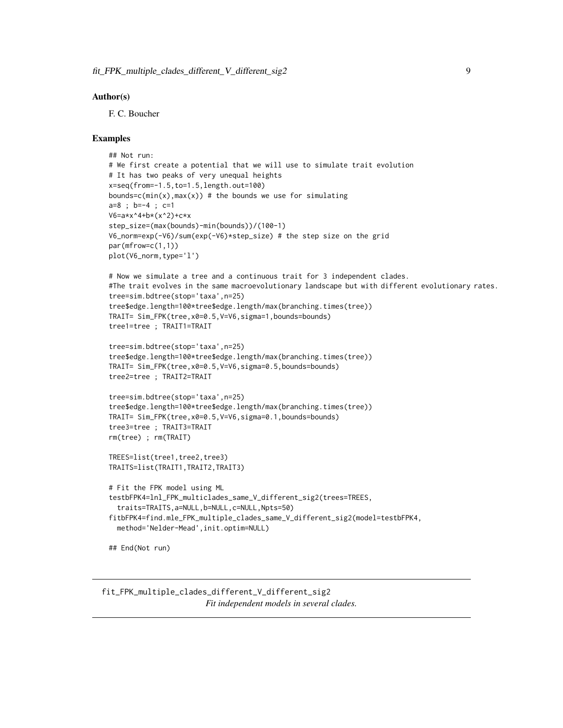#### <span id="page-8-0"></span>Author(s)

F. C. Boucher

#### Examples

```
## Not run:
# We first create a potential that we will use to simulate trait evolution
# It has two peaks of very unequal heights
x=seq(from=-1.5,to=1.5,length.out=100)
bounds=c(min(x), max(x)) # the bounds we use for simulating
a=8 ; b=-4 ; c=1
V6=a*x^4+b*(x^2)+c*x
step_size=(max(bounds)-min(bounds))/(100-1)
V6_norm=exp(-V6)/sum(exp(-V6)*step_size) # the step size on the grid
par(mfrow=c(1,1))
plot(V6_norm,type='l')
# Now we simulate a tree and a continuous trait for 3 independent clades.
#The trait evolves in the same macroevolutionary landscape but with different evolutionary rates.
tree=sim.bdtree(stop='taxa',n=25)
tree$edge.length=100*tree$edge.length/max(branching.times(tree))
TRAIT= Sim_FPK(tree,x0=0.5,V=V6,sigma=1,bounds=bounds)
tree1=tree ; TRAIT1=TRAIT
tree=sim.bdtree(stop='taxa',n=25)
tree$edge.length=100*tree$edge.length/max(branching.times(tree))
TRAIT= Sim_FPK(tree,x0=0.5,V=V6,sigma=0.5,bounds=bounds)
tree2=tree ; TRAIT2=TRAIT
tree=sim.bdtree(stop='taxa',n=25)
tree$edge.length=100*tree$edge.length/max(branching.times(tree))
TRAIT= Sim_FPK(tree,x0=0.5,V=V6,sigma=0.1,bounds=bounds)
tree3=tree ; TRAIT3=TRAIT
rm(tree) ; rm(TRAIT)
TREES=list(tree1,tree2,tree3)
TRAITS=list(TRAIT1,TRAIT2,TRAIT3)
# Fit the FPK model using ML
testbFPK4=lnl_FPK_multiclades_same_V_different_sig2(trees=TREES,
  traits=TRAITS,a=NULL,b=NULL,c=NULL,Npts=50)
fitbFPK4=find.mle_FPK_multiple_clades_same_V_different_sig2(model=testbFPK4,
  method='Nelder-Mead',init.optim=NULL)
## End(Not run)
```
<span id="page-8-2"></span><span id="page-8-1"></span>fit\_FPK\_multiple\_clades\_different\_V\_different\_sig2 *Fit independent models in several clades.*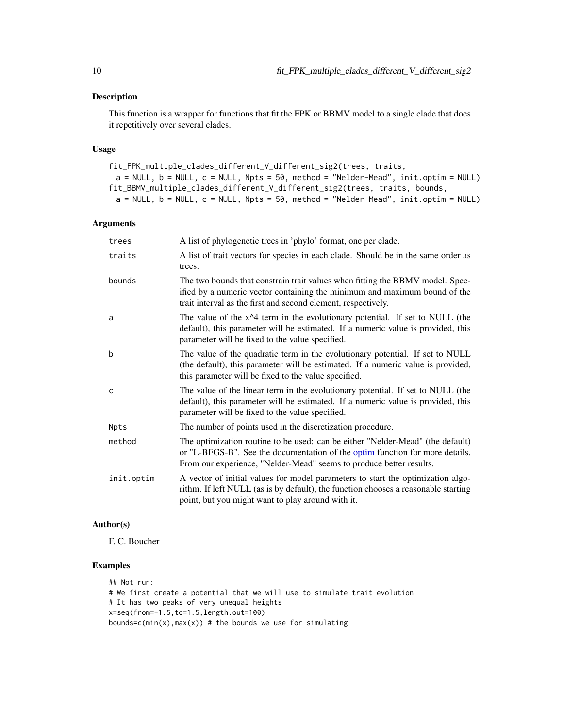## <span id="page-9-0"></span>Description

This function is a wrapper for functions that fit the FPK or BBMV model to a single clade that does it repetitively over several clades.

#### Usage

```
fit_FPK_multiple_clades_different_V_different_sig2(trees, traits,
 a = NULL, b = NULL, c = NULL, Npts = 50, method = "Nelder-Mead", init.optim = NULL)
fit_BBMV_multiple_clades_different_V_different_sig2(trees, traits, bounds,
 a = NULL, b = NULL, c = NULL, Npts = 50, method = "Nelder-Mead", init.optim = NULL)
```
#### Arguments

| trees        | A list of phylogenetic trees in 'phylo' format, one per clade.                                                                                                                                                                        |
|--------------|---------------------------------------------------------------------------------------------------------------------------------------------------------------------------------------------------------------------------------------|
| traits       | A list of trait vectors for species in each clade. Should be in the same order as<br>trees.                                                                                                                                           |
| bounds       | The two bounds that constrain trait values when fitting the BBMV model. Spec-<br>ified by a numeric vector containing the minimum and maximum bound of the<br>trait interval as the first and second element, respectively.           |
| a            | The value of the $x^2$ term in the evolutionary potential. If set to NULL (the<br>default), this parameter will be estimated. If a numeric value is provided, this<br>parameter will be fixed to the value specified.                 |
| b            | The value of the quadratic term in the evolutionary potential. If set to NULL<br>(the default), this parameter will be estimated. If a numeric value is provided,<br>this parameter will be fixed to the value specified.             |
| $\mathsf{C}$ | The value of the linear term in the evolutionary potential. If set to NULL (the<br>default), this parameter will be estimated. If a numeric value is provided, this<br>parameter will be fixed to the value specified.                |
| Npts         | The number of points used in the discretization procedure.                                                                                                                                                                            |
| method       | The optimization routine to be used: can be either "Nelder-Mead" (the default)<br>or "L-BFGS-B". See the documentation of the optim function for more details.<br>From our experience, "Nelder-Mead" seems to produce better results. |
| init.optim   | A vector of initial values for model parameters to start the optimization algo-<br>rithm. If left NULL (as is by default), the function chooses a reasonable starting<br>point, but you might want to play around with it.            |

#### Author(s)

F. C. Boucher

## Examples

## Not run: # We first create a potential that we will use to simulate trait evolution # It has two peaks of very unequal heights x=seq(from=-1.5,to=1.5,length.out=100) bounds=c( $min(x)$ ,  $max(x)$ ) # the bounds we use for simulating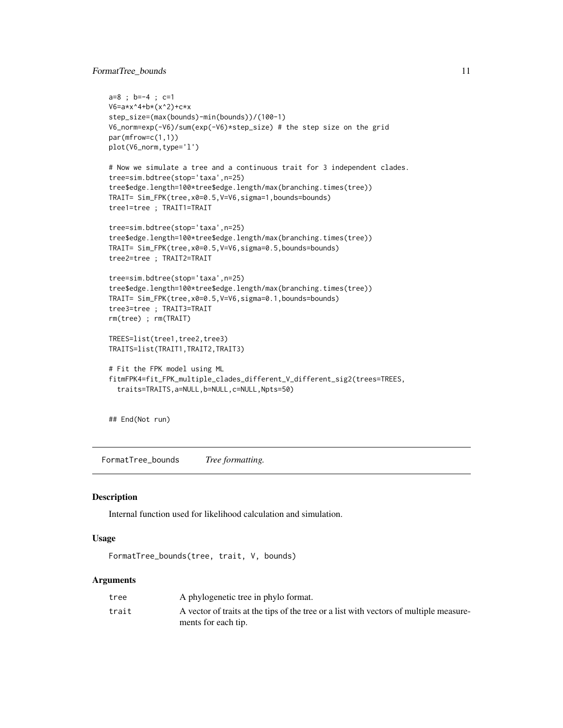## <span id="page-10-0"></span>FormatTree\_bounds 11

```
a=8 ; b=-4 ; c=1
V6=a*x^4+b*(x^2)+c*x
step_size=(max(bounds)-min(bounds))/(100-1)
V6_norm=exp(-V6)/sum(exp(-V6)*step_size) # the step size on the grid
par(mfrow=c(1,1))
plot(V6_norm,type='l')
# Now we simulate a tree and a continuous trait for 3 independent clades.
tree=sim.bdtree(stop='taxa',n=25)
tree$edge.length=100*tree$edge.length/max(branching.times(tree))
TRAIT= Sim_FPK(tree,x0=0.5,V=V6,sigma=1,bounds=bounds)
tree1=tree ; TRAIT1=TRAIT
tree=sim.bdtree(stop='taxa',n=25)
tree$edge.length=100*tree$edge.length/max(branching.times(tree))
TRAIT= Sim_FPK(tree,x0=0.5,V=V6,sigma=0.5,bounds=bounds)
tree2=tree ; TRAIT2=TRAIT
tree=sim.bdtree(stop='taxa',n=25)
tree$edge.length=100*tree$edge.length/max(branching.times(tree))
TRAIT= Sim_FPK(tree,x0=0.5,V=V6,sigma=0.1,bounds=bounds)
tree3=tree ; TRAIT3=TRAIT
rm(tree) ; rm(TRAIT)
TREES=list(tree1,tree2,tree3)
TRAITS=list(TRAIT1,TRAIT2,TRAIT3)
# Fit the FPK model using ML
fitmFPK4=fit_FPK_multiple_clades_different_V_different_sig2(trees=TREES,
  traits=TRAITS,a=NULL,b=NULL,c=NULL,Npts=50)
```
## End(Not run)

<span id="page-10-1"></span>FormatTree\_bounds *Tree formatting.*

#### Description

Internal function used for likelihood calculation and simulation.

#### Usage

```
FormatTree_bounds(tree, trait, V, bounds)
```
#### Arguments

| tree  | A phylogenetic tree in phylo format.                                                   |
|-------|----------------------------------------------------------------------------------------|
| trait | A vector of traits at the tips of the tree or a list with vectors of multiple measure- |
|       | ments for each tip.                                                                    |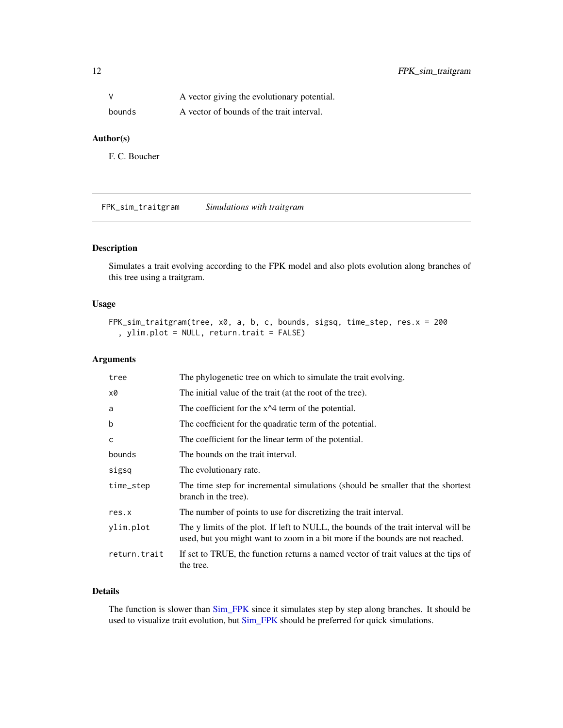<span id="page-11-0"></span>

| V      | A vector giving the evolutionary potential. |
|--------|---------------------------------------------|
| bounds | A vector of bounds of the trait interval.   |

#### Author(s)

F. C. Boucher

FPK\_sim\_traitgram *Simulations with traitgram*

## Description

Simulates a trait evolving according to the FPK model and also plots evolution along branches of this tree using a traitgram.

## Usage

```
FPK_sim_traitgram(tree, x0, a, b, c, bounds, sigsq, time_step, res.x = 200
  , ylim.plot = NULL, return.trait = FALSE)
```
#### Arguments

| tree         | The phylogenetic tree on which to simulate the trait evolving.                                                                                                       |
|--------------|----------------------------------------------------------------------------------------------------------------------------------------------------------------------|
| x0           | The initial value of the trait (at the root of the tree).                                                                                                            |
| a            | The coefficient for the $x^2$ term of the potential.                                                                                                                 |
| b            | The coefficient for the quadratic term of the potential.                                                                                                             |
| C            | The coefficient for the linear term of the potential.                                                                                                                |
| bounds       | The bounds on the trait interval.                                                                                                                                    |
| sigsq        | The evolutionary rate.                                                                                                                                               |
| time_step    | The time step for incremental simulations (should be smaller that the shortest<br>branch in the tree).                                                               |
| res.x        | The number of points to use for discretizing the trait interval.                                                                                                     |
| ylim.plot    | The y limits of the plot. If left to NULL, the bounds of the trait interval will be<br>used, but you might want to zoom in a bit more if the bounds are not reached. |
| return.trait | If set to TRUE, the function returns a named vector of trait values at the tips of<br>the tree.                                                                      |
|              |                                                                                                                                                                      |

## Details

The function is slower than [Sim\\_FPK](#page-29-1) since it simulates step by step along branches. It should be used to visualize trait evolution, but [Sim\\_FPK](#page-29-1) should be preferred for quick simulations.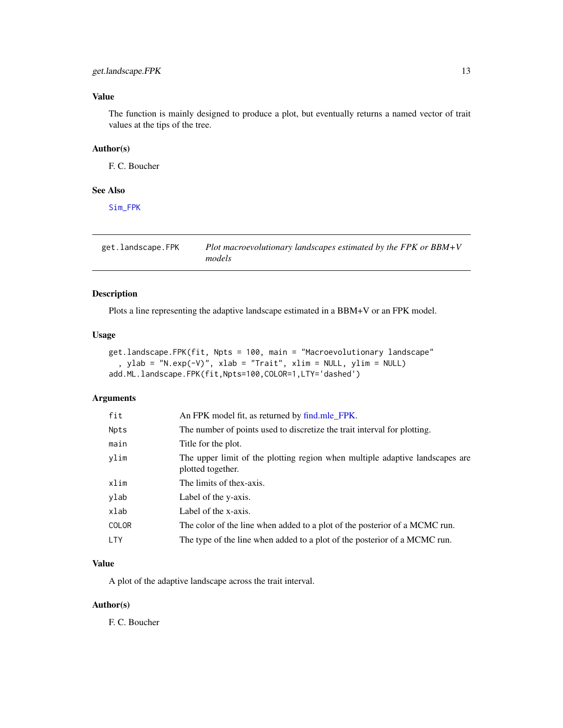## <span id="page-12-0"></span>get.landscape.FPK 13

## Value

The function is mainly designed to produce a plot, but eventually returns a named vector of trait values at the tips of the tree.

## Author(s)

F. C. Boucher

## See Also

[Sim\\_FPK](#page-29-1)

get.landscape.FPK *Plot macroevolutionary landscapes estimated by the FPK or BBM+V models*

## Description

Plots a line representing the adaptive landscape estimated in a BBM+V or an FPK model.

## Usage

```
get.landscape.FPK(fit, Npts = 100, main = "Macroevolutionary landscape"
  , ylab = "N.exp(-V)", xlab = "Trait", xlim = NULL, ylim = NULL)
add.ML.landscape.FPK(fit,Npts=100,COLOR=1,LTY='dashed')
```
#### Arguments

| fit          | An FPK model fit, as returned by find mle_FPK.                                                    |
|--------------|---------------------------------------------------------------------------------------------------|
| Npts         | The number of points used to discretize the trait interval for plotting.                          |
| main         | Title for the plot.                                                                               |
| vlim         | The upper limit of the plotting region when multiple adaptive landscapes are<br>plotted together. |
| xlim         | The limits of thex-axis.                                                                          |
| ylab         | Label of the y-axis.                                                                              |
| xlab         | Label of the x-axis.                                                                              |
| <b>COLOR</b> | The color of the line when added to a plot of the posterior of a MCMC run.                        |
| <b>LTY</b>   | The type of the line when added to a plot of the posterior of a MCMC run.                         |

## Value

A plot of the adaptive landscape across the trait interval.

## Author(s)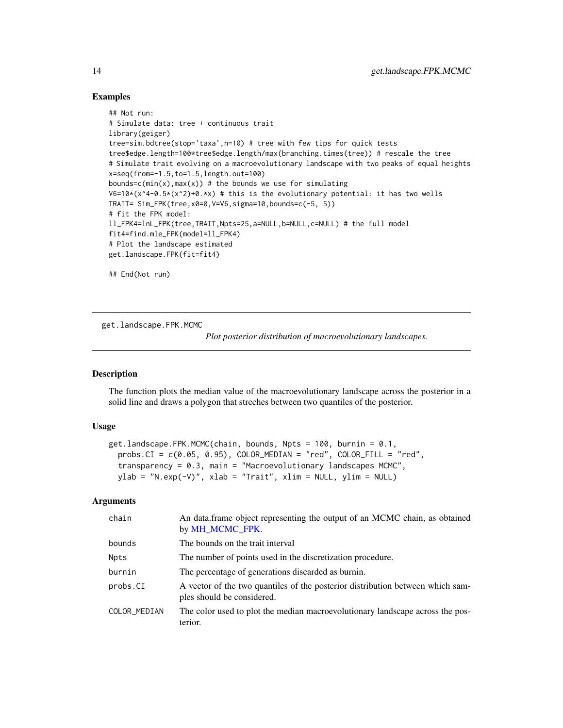#### Examples

```
## Not run:
# Simulate data: tree + continuous trait
library(geiger)
tree=sim.bdtree(stop='taxa',n=10) # tree with few tips for quick tests
tree$edge.length=100*tree$edge.length/max(branching.times(tree)) # rescale the tree
# Simulate trait evolving on a macroevolutionary landscape with two peaks of equal heights
x=seq(from=-1.5,to=1.5,length.out=100)
bounds=c(min(x), max(x)) # the bounds we use for simulating
V6=10*(x^4-0.5*(x^2)+0.*x) # this is the evolutionary potential: it has two wells
TRAIT= Sim_FPK(tree,x0=0,V=V6,sigma=10,bounds=c(-5, 5))
# fit the FPK model:
ll_FPK4=lnL_FPK(tree,TRAIT,Npts=25,a=NULL,b=NULL,c=NULL) # the full model
fit4=find.mle_FPK(model=ll_FPK4)
# Plot the landscape estimated
get.landscape.FPK(fit=fit4)
## End(Not run)
```
get.landscape.FPK.MCMC

*Plot posterior distribution of macroevolutionary landscapes.*

## Description

The function plots the median value of the macroevolutionary landscape across the posterior in a solid line and draws a polygon that streches between two quantiles of the posterior.

#### Usage

```
get.landscape.FPK.MCMC(chain, bounds, Npts = 100, burnin = 0.1,
  probs.CI = c(0.05, 0.95), COLOR_MEDIAN = "red", COLOR_FILL = "red",
  transparency = 0.3, main = "Macroevolutionary landscapes MCMC",
 ylab = "N.exp(-V)", xlab = "Train", xlim = NULL, ylim = NULL)
```
### Arguments

| chain        | An data frame object representing the output of an MCMC chain, as obtained<br>by MH_MCMC_FPK.                |
|--------------|--------------------------------------------------------------------------------------------------------------|
| bounds       | The bounds on the trait interval                                                                             |
| Npts         | The number of points used in the discretization procedure.                                                   |
| burnin       | The percentage of generations discarded as burnin.                                                           |
| probs.CI     | A vector of the two quantiles of the posterior distribution between which sam-<br>ples should be considered. |
| COLOR_MEDIAN | The color used to plot the median macroevolutionary landscape across the pos-<br>terior.                     |

<span id="page-13-0"></span>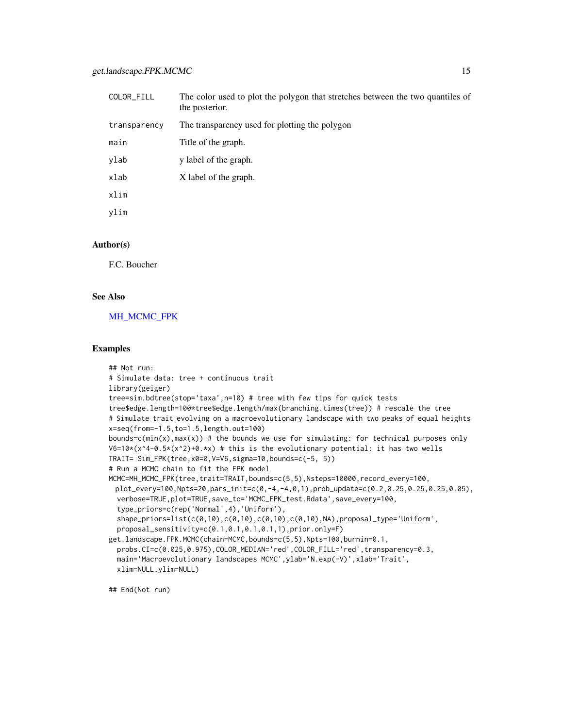<span id="page-14-0"></span>

| COLOR_FILL   | The color used to plot the polygon that stretches between the two quantiles of<br>the posterior. |
|--------------|--------------------------------------------------------------------------------------------------|
| transparency | The transparency used for plotting the polygon                                                   |
| main         | Title of the graph.                                                                              |
| ylab         | y label of the graph.                                                                            |
| xlab         | X label of the graph.                                                                            |
| xlim         |                                                                                                  |
| vlim         |                                                                                                  |

#### Author(s)

F.C. Boucher

## See Also

[MH\\_MCMC\\_FPK](#page-20-1)

#### Examples

```
## Not run:
# Simulate data: tree + continuous trait
library(geiger)
tree=sim.bdtree(stop='taxa',n=10) # tree with few tips for quick tests
tree$edge.length=100*tree$edge.length/max(branching.times(tree)) # rescale the tree
# Simulate trait evolving on a macroevolutionary landscape with two peaks of equal heights
x=seq(from=-1.5,to=1.5,length.out=100)
bounds=c(min(x), max(x)) # the bounds we use for simulating: for technical purposes only
V6=10*(x^4-0.5*(x^2)+0.*x) # this is the evolutionary potential: it has two wells
TRAIT= Sim_FPK(tree,x0=0,V=V6,sigma=10,bounds=c(-5, 5))
# Run a MCMC chain to fit the FPK model
MCMC=MH_MCMC_FPK(tree,trait=TRAIT,bounds=c(5,5),Nsteps=10000,record_every=100,
 plot_every=100,Npts=20,pars_init=c(0,-4,-4,0,1),prob_update=c(0.2,0.25,0.25,0.25,0.05),
 verbose=TRUE,plot=TRUE,save_to='MCMC_FPK_test.Rdata',save_every=100,
 type_priors=c(rep('Normal',4),'Uniform'),
 shape_priors=list(c(0,10),c(0,10),c(0,10),c(0,10),NA),proposal_type='Uniform',
 proposal_sensitivity=c(0.1,0.1,0.1,0.1,1),prior.only=F)
get.landscape.FPK.MCMC(chain=MCMC,bounds=c(5,5),Npts=100,burnin=0.1,
 probs.CI=c(0.025,0.975),COLOR_MEDIAN='red',COLOR_FILL='red',transparency=0.3,
 main='Macroevolutionary landscapes MCMC',ylab='N.exp(-V)',xlab='Trait',
 xlim=NULL,ylim=NULL)
```
## End(Not run)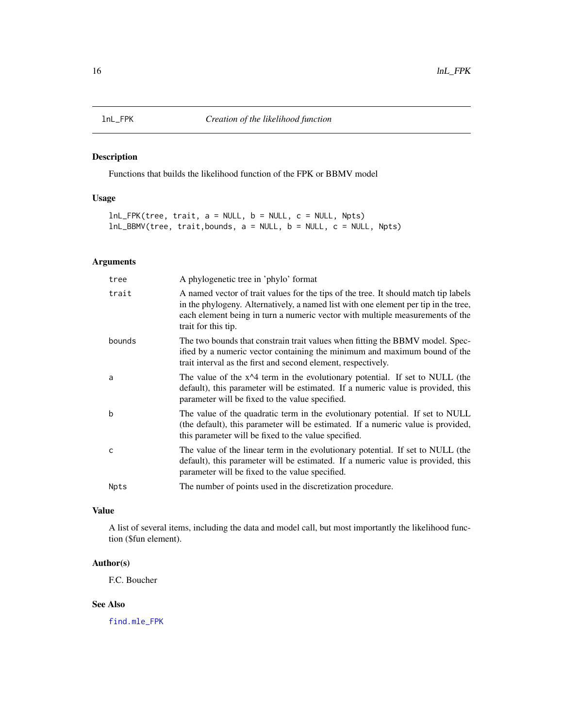<span id="page-15-1"></span><span id="page-15-0"></span>

## <span id="page-15-2"></span>Description

Functions that builds the likelihood function of the FPK or BBMV model

## Usage

```
lnL_FPK(tree, trait, a = NULL, b = NULL, c = NULL, Npts)
lnL_BBMV(tree, trait,bounds, a = NULL, b = NULL, c = NULL, Npts)
```
## Arguments

| tree        | A phylogenetic tree in 'phylo' format                                                                                                                                                                                                                                              |
|-------------|------------------------------------------------------------------------------------------------------------------------------------------------------------------------------------------------------------------------------------------------------------------------------------|
| trait       | A named vector of trait values for the tips of the tree. It should match tip labels<br>in the phylogeny. Alternatively, a named list with one element per tip in the tree,<br>each element being in turn a numeric vector with multiple measurements of the<br>trait for this tip. |
| bounds      | The two bounds that constrain trait values when fitting the BBMV model. Spec-<br>ified by a numeric vector containing the minimum and maximum bound of the<br>trait interval as the first and second element, respectively.                                                        |
| a           | The value of the $x^2$ term in the evolutionary potential. If set to NULL (the<br>default), this parameter will be estimated. If a numeric value is provided, this<br>parameter will be fixed to the value specified.                                                              |
| b           | The value of the quadratic term in the evolutionary potential. If set to NULL<br>(the default), this parameter will be estimated. If a numeric value is provided,<br>this parameter will be fixed to the value specified.                                                          |
| C           | The value of the linear term in the evolutionary potential. If set to NULL (the<br>default), this parameter will be estimated. If a numeric value is provided, this<br>parameter will be fixed to the value specified.                                                             |
| <b>Npts</b> | The number of points used in the discretization procedure.                                                                                                                                                                                                                         |

## Value

A list of several items, including the data and model call, but most importantly the likelihood function (\$fun element).

## Author(s)

F.C. Boucher

### See Also

[find.mle\\_FPK](#page-6-1)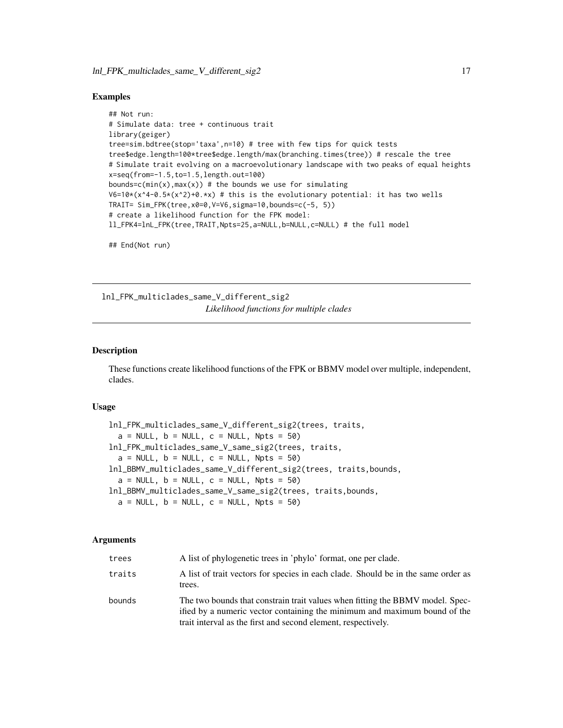#### <span id="page-16-0"></span>Examples

```
## Not run:
# Simulate data: tree + continuous trait
library(geiger)
tree=sim.bdtree(stop='taxa',n=10) # tree with few tips for quick tests
tree$edge.length=100*tree$edge.length/max(branching.times(tree)) # rescale the tree
# Simulate trait evolving on a macroevolutionary landscape with two peaks of equal heights
x=seq(from=-1.5,to=1.5,length.out=100)
bounds=c(min(x), max(x)) # the bounds we use for simulating
V6=10*(x^4-0.5*(x^2)+0.*x) # this is the evolutionary potential: it has two wells
TRAIT= Sim_FPK(tree,x0=0,V=V6,sigma=10,bounds=c(-5, 5))
# create a likelihood function for the FPK model:
ll_FPK4=lnL_FPK(tree,TRAIT,Npts=25,a=NULL,b=NULL,c=NULL) # the full model
## End(Not run)
```
<span id="page-16-1"></span>lnl\_FPK\_multiclades\_same\_V\_different\_sig2 *Likelihood functions for multiple clades*

#### <span id="page-16-2"></span>Description

These functions create likelihood functions of the FPK or BBMV model over multiple, independent, clades.

#### Usage

```
lnl_FPK_multiclades_same_V_different_sig2(trees, traits,
  a = NULL, b = NULL, c = NULL, Npts = 50)
lnl_FPK_multiclades_same_V_same_sig2(trees, traits,
  a = NULL, b = NULL, c = NULL, Npts = 50lnl_BBMV_multiclades_same_V_different_sig2(trees, traits,bounds,
  a = NULL, b = NULL, c = NULL, Npts = 50lnl_BBMV_multiclades_same_V_same_sig2(trees, traits,bounds,
  a = NULL, b = NULL, c = NULL, Npts = 50)
```
#### Arguments

| trees  | A list of phylogenetic trees in 'phylo' format, one per clade.                                                                                                                                                              |
|--------|-----------------------------------------------------------------------------------------------------------------------------------------------------------------------------------------------------------------------------|
| traits | A list of trait vectors for species in each clade. Should be in the same order as<br>trees.                                                                                                                                 |
| bounds | The two bounds that constrain trait values when fitting the BBMV model. Spec-<br>ified by a numeric vector containing the minimum and maximum bound of the<br>trait interval as the first and second element, respectively. |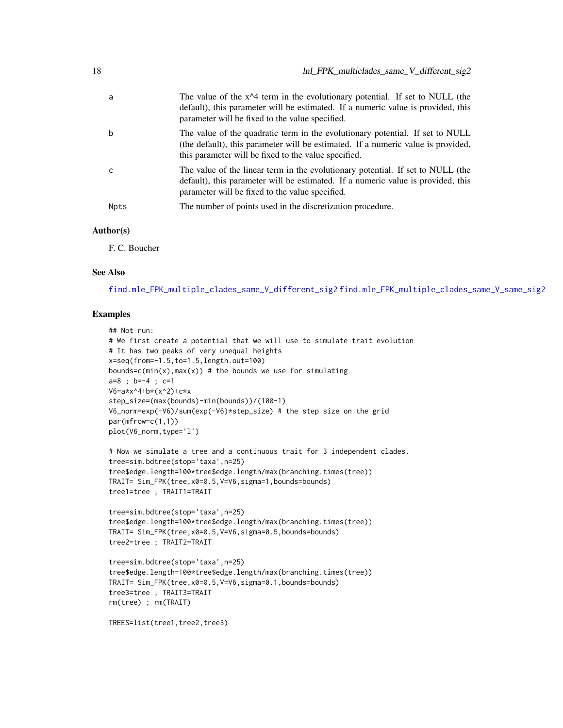<span id="page-17-0"></span>

| a    | The value of the $x^2$ term in the evolutionary potential. If set to NULL (the<br>default), this parameter will be estimated. If a numeric value is provided, this<br>parameter will be fixed to the value specified.     |
|------|---------------------------------------------------------------------------------------------------------------------------------------------------------------------------------------------------------------------------|
| b    | The value of the quadratic term in the evolutionary potential. If set to NULL<br>(the default), this parameter will be estimated. If a numeric value is provided,<br>this parameter will be fixed to the value specified. |
| C    | The value of the linear term in the evolutionary potential. If set to NULL (the<br>default), this parameter will be estimated. If a numeric value is provided, this<br>parameter will be fixed to the value specified.    |
| Npts | The number of points used in the discretization procedure.                                                                                                                                                                |

#### Author(s)

F. C. Boucher

#### See Also

[find.mle\\_FPK\\_multiple\\_clades\\_same\\_V\\_different\\_sig2](#page-7-1) [find.mle\\_FPK\\_multiple\\_clades\\_same\\_V\\_same\\_sig2](#page-7-2)

#### Examples

```
## Not run:
# We first create a potential that we will use to simulate trait evolution
# It has two peaks of very unequal heights
x=seq(from=-1.5,to=1.5,length.out=100)
bounds=c(min(x),max(x)) # the bounds we use for simulating
a=8 ; b=-4 ; c=1
V6=a*x^4+b*(x^2)+c*x
step_size=(max(bounds)-min(bounds))/(100-1)
V6_norm=exp(-V6)/sum(exp(-V6)*step_size) # the step size on the grid
par(mfrow=c(1,1))plot(V6_norm,type='l')
# Now we simulate a tree and a continuous trait for 3 independent clades.
tree=sim.bdtree(stop='taxa',n=25)
tree$edge.length=100*tree$edge.length/max(branching.times(tree))
TRAIT= Sim_FPK(tree,x0=0.5,V=V6,sigma=1,bounds=bounds)
tree1=tree ; TRAIT1=TRAIT
```

```
tree=sim.bdtree(stop='taxa',n=25)
tree$edge.length=100*tree$edge.length/max(branching.times(tree))
TRAIT= Sim_FPK(tree,x0=0.5,V=V6,sigma=0.5,bounds=bounds)
tree2=tree ; TRAIT2=TRAIT
```

```
tree=sim.bdtree(stop='taxa',n=25)
tree$edge.length=100*tree$edge.length/max(branching.times(tree))
TRAIT= Sim_FPK(tree,x0=0.5,V=V6,sigma=0.1,bounds=bounds)
tree3=tree ; TRAIT3=TRAIT
rm(tree) ; rm(TRAIT)
```

```
TREES=list(tree1,tree2,tree3)
```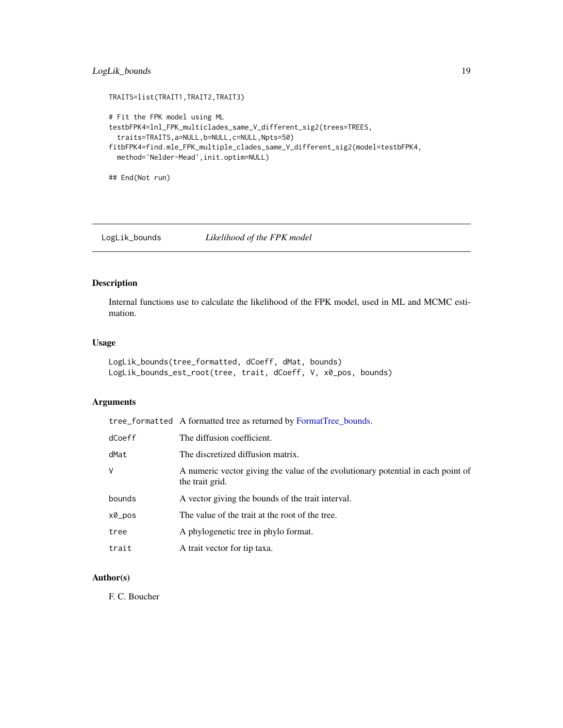## <span id="page-18-0"></span>LogLik\_bounds 19

```
TRAITS=list(TRAIT1,TRAIT2,TRAIT3)
# Fit the FPK model using ML
testbFPK4=lnl_FPK_multiclades_same_V_different_sig2(trees=TREES,
  traits=TRAITS,a=NULL,b=NULL,c=NULL,Npts=50)
fitbFPK4=find.mle_FPK_multiple_clades_same_V_different_sig2(model=testbFPK4,
  method='Nelder-Mead',init.optim=NULL)
```
## End(Not run)

LogLik\_bounds *Likelihood of the FPK model*

## Description

Internal functions use to calculate the likelihood of the FPK model, used in ML and MCMC estimation.

#### Usage

```
LogLik_bounds(tree_formatted, dCoeff, dMat, bounds)
LogLik_bounds_est_root(tree, trait, dCoeff, V, x0_pos, bounds)
```
#### Arguments

|        | tree_formatted A formatted tree as returned by FormatTree_bounds.                                   |
|--------|-----------------------------------------------------------------------------------------------------|
| dCoeff | The diffusion coefficient.                                                                          |
| dMat   | The discretized diffusion matrix.                                                                   |
| V      | A numeric vector giving the value of the evolutionary potential in each point of<br>the trait grid. |
| bounds | A vector giving the bounds of the trait interval.                                                   |
| x0_pos | The value of the trait at the root of the tree.                                                     |
| tree   | A phylogenetic tree in phylo format.                                                                |
| trait  | A trait vector for tip taxa.                                                                        |

## Author(s)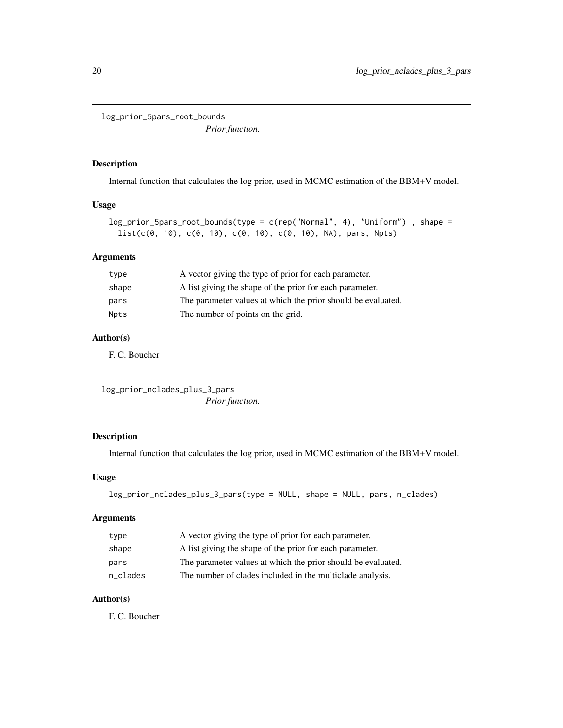<span id="page-19-0"></span>log\_prior\_5pars\_root\_bounds

*Prior function.*

### Description

Internal function that calculates the log prior, used in MCMC estimation of the BBM+V model.

## Usage

```
log_prior_5pars_root_bounds(type = c(rep("Normal", 4), "Uniform") , shape =
 list(c(0, 10), c(0, 10), c(0, 10), c(0, 10), NA), pars, Npts)
```
## Arguments

| type        | A vector giving the type of prior for each parameter.        |
|-------------|--------------------------------------------------------------|
| shape       | A list giving the shape of the prior for each parameter.     |
| pars        | The parameter values at which the prior should be evaluated. |
| <b>Npts</b> | The number of points on the grid.                            |

## Author(s)

F. C. Boucher

log\_prior\_nclades\_plus\_3\_pars *Prior function.*

## Description

Internal function that calculates the log prior, used in MCMC estimation of the BBM+V model.

### Usage

```
log_prior_nclades_plus_3_pars(type = NULL, shape = NULL, pars, n_clades)
```
## Arguments

| type     | A vector giving the type of prior for each parameter.        |
|----------|--------------------------------------------------------------|
| shape    | A list giving the shape of the prior for each parameter.     |
| pars     | The parameter values at which the prior should be evaluated. |
| n clades | The number of clades included in the multiclade analysis.    |

#### Author(s)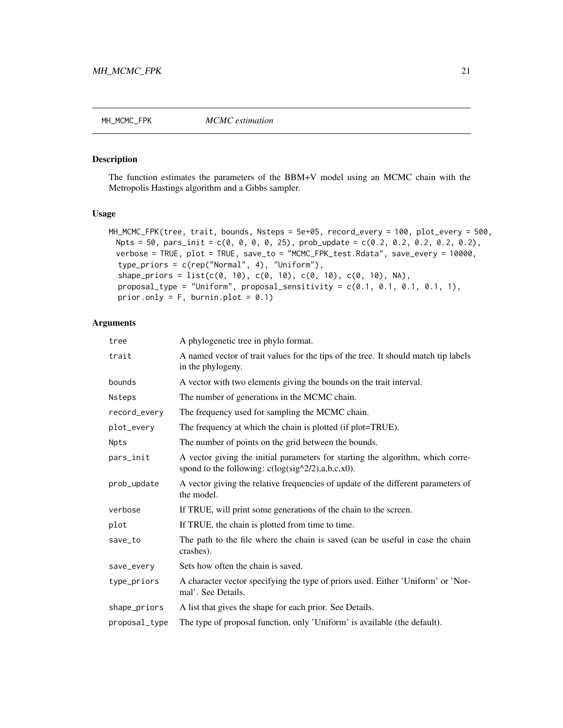<span id="page-20-1"></span><span id="page-20-0"></span>

#### Description

The function estimates the parameters of the BBM+V model using an MCMC chain with the Metropolis Hastings algorithm and a Gibbs sampler.

## Usage

```
MH_MCMC_FPK(tree, trait, bounds, Nsteps = 5e+05, record_every = 100, plot_every = 500,
 Npts = 50, pars\_init = c(0, 0, 0, 0, 25), prob\_update = c(0.2, 0.2, 0.2, 0.2, 0.2),
 verbose = TRUE, plot = TRUE, save_to = "MCMC_FPK_test.Rdata", save_every = 10000,
  type_priors = c(rep("Normal", 4), "Uniform"),
  shape_priors = list(c(0, 10), c(0, 10), c(0, 10), c(0, 10), C(0, 10), NA),
  proposal_type = "Uniform", proposal_sensitivity = c(0.1, 0.1, 0.1, 0.1, 1),
  prior.only = F, burnin.plot = 0.1)
```
## Arguments

| A phylogenetic tree in phylo format.                                                                                                                   |
|--------------------------------------------------------------------------------------------------------------------------------------------------------|
| A named vector of trait values for the tips of the tree. It should match tip labels<br>in the phylogeny.                                               |
| A vector with two elements giving the bounds on the trait interval.                                                                                    |
| The number of generations in the MCMC chain.                                                                                                           |
| The frequency used for sampling the MCMC chain.                                                                                                        |
| The frequency at which the chain is plotted (if plot=TRUE).                                                                                            |
| The number of points on the grid between the bounds.                                                                                                   |
| A vector giving the initial parameters for starting the algorithm, which corre-<br>spond to the following: $c(log(\text{sig}^{\wedge}2/2),a,b,c,x0)$ . |
| A vector giving the relative frequencies of update of the different parameters of<br>the model.                                                        |
| If TRUE, will print some generations of the chain to the screen.                                                                                       |
| If TRUE, the chain is plotted from time to time.                                                                                                       |
| The path to the file where the chain is saved (can be useful in case the chain<br>crashes).                                                            |
| Sets how often the chain is saved.                                                                                                                     |
| A character vector specifying the type of priors used. Either 'Uniform' or 'Nor-<br>mal'. See Details.                                                 |
| A list that gives the shape for each prior. See Details.                                                                                               |
| The type of proposal function, only 'Uniform' is available (the default).                                                                              |
|                                                                                                                                                        |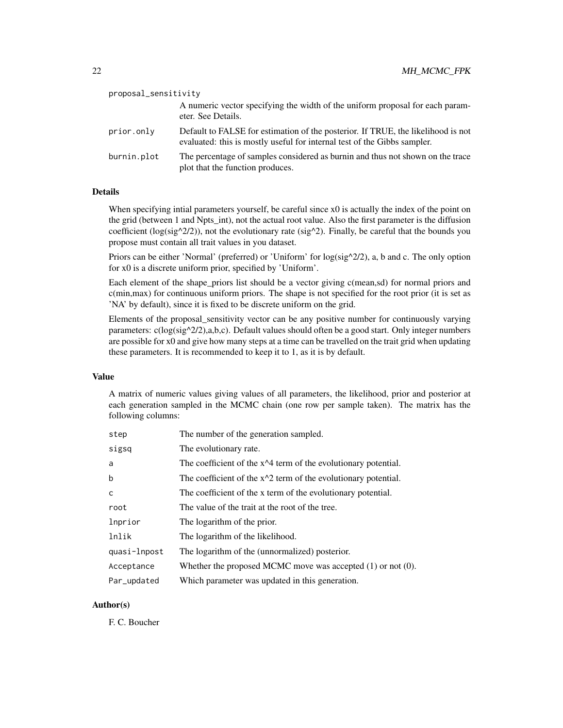| proposal_sensitivity |                                                                                                                                                              |
|----------------------|--------------------------------------------------------------------------------------------------------------------------------------------------------------|
|                      | A numeric vector specifying the width of the uniform proposal for each param-<br>eter. See Details.                                                          |
| prior.only           | Default to FALSE for estimation of the posterior. If TRUE, the likelihood is not<br>evaluated: this is mostly useful for internal test of the Gibbs sampler. |
| burnin.plot          | The percentage of samples considered as burnin and thus not shown on the trace<br>plot that the function produces.                                           |

## Details

When specifying intial parameters yourself, be careful since  $x0$  is actually the index of the point on the grid (between 1 and Npts int), not the actual root value. Also the first parameter is the diffusion coefficient ( $log(sign^2/2))$ , not the evolutionary rate ( $sig^2$ ). Finally, be careful that the bounds you propose must contain all trait values in you dataset.

Priors can be either 'Normal' (preferred) or 'Uniform' for log(sig^2/2), a, b and c. The only option for x0 is a discrete uniform prior, specified by 'Uniform'.

Each element of the shape\_priors list should be a vector giving c(mean,sd) for normal priors and c(min,max) for continuous uniform priors. The shape is not specified for the root prior (it is set as 'NA' by default), since it is fixed to be discrete uniform on the grid.

Elements of the proposal\_sensitivity vector can be any positive number for continuously varying parameters:  $c(\log(\text{sig}^{\wedge}2/2),a,b,c)$ . Default values should often be a good start. Only integer numbers are possible for x0 and give how many steps at a time can be travelled on the trait grid when updating these parameters. It is recommended to keep it to 1, as it is by default.

### Value

A matrix of numeric values giving values of all parameters, the likelihood, prior and posterior at each generation sampled in the MCMC chain (one row per sample taken). The matrix has the following columns:

| step         | The number of the generation sampled.                            |
|--------------|------------------------------------------------------------------|
| sigsq        | The evolutionary rate.                                           |
| a            | The coefficient of the $x^2$ term of the evolutionary potential. |
| b            | The coefficient of the $x^2$ term of the evolutionary potential. |
| $\mathsf{C}$ | The coefficient of the x term of the evolutionary potential.     |
| root         | The value of the trait at the root of the tree.                  |
| lnprior      | The logarithm of the prior.                                      |
| lnlik        | The logarithm of the likelihood.                                 |
| quasi-lnpost | The logarithm of the (unnormalized) posterior.                   |
| Acceptance   | Whether the proposed MCMC move was accepted $(1)$ or not $(0)$ . |
| Par_updated  | Which parameter was updated in this generation.                  |

#### Author(s)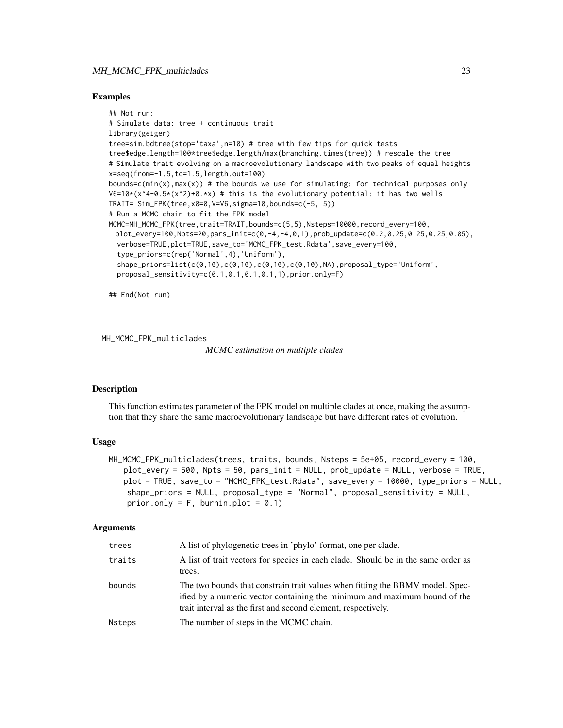## <span id="page-22-0"></span>MH\_MCMC\_FPK\_multiclades 23

#### Examples

```
## Not run:
# Simulate data: tree + continuous trait
library(geiger)
tree=sim.bdtree(stop='taxa',n=10) # tree with few tips for quick tests
tree$edge.length=100*tree$edge.length/max(branching.times(tree)) # rescale the tree
# Simulate trait evolving on a macroevolutionary landscape with two peaks of equal heights
x=seq(from=-1.5,to=1.5,length.out=100)
bounds=c(min(x), max(x)) # the bounds we use for simulating: for technical purposes only
V6=10*(x^4-0.5*(x^2)+0.*x) # this is the evolutionary potential: it has two wells
TRAIT= Sim_FPK(tree,x0=0,V=V6,sigma=10,bounds=c(-5, 5))
# Run a MCMC chain to fit the FPK model
MCMC=MH_MCMC_FPK(tree,trait=TRAIT,bounds=c(5,5),Nsteps=10000,record_every=100,
 plot_every=100,Npts=20,pars_init=c(0,-4,-4,0,1),prob_update=c(0.2,0.25,0.25,0.25,0.05),
  verbose=TRUE,plot=TRUE,save_to='MCMC_FPK_test.Rdata',save_every=100,
  type_priors=c(rep('Normal',4),'Uniform'),
  shape_priors=list(c(0,10),c(0,10),c(0,10),c(0,10),NA),proposal_type='Uniform',
  proposal_sensitivity=c(0.1,0.1,0.1,0.1,1),prior.only=F)
```
## End(Not run)

MH\_MCMC\_FPK\_multiclades

*MCMC estimation on multiple clades*

## Description

This function estimates parameter of the FPK model on multiple clades at once, making the assumption that they share the same macroevolutionary landscape but have different rates of evolution.

#### Usage

```
MH_MCMC_FPK_multiclades(trees, traits, bounds, Nsteps = 5e+05, record_every = 100,
   plot_every = 500, Npts = 50, pars_init = NULL, prob_update = NULL, verbose = TRUE,
   plot = TRUE, save_to = "MCMC_FPK_test.Rdata", save_every = 10000, type_priors = NULL,
    shape_priors = NULL, proposal_type = "Normal", proposal_sensitivity = NULL,
    prior.only = F, burnin.plot = 0.1)
```
#### Arguments

|                  | A list of trait vectors for species in each clade. Should be in the same order as                                                                                                                                           |
|------------------|-----------------------------------------------------------------------------------------------------------------------------------------------------------------------------------------------------------------------------|
| traits<br>trees. |                                                                                                                                                                                                                             |
| bounds           | The two bounds that constrain trait values when fitting the BBMV model. Spec-<br>ified by a numeric vector containing the minimum and maximum bound of the<br>trait interval as the first and second element, respectively. |
| Nsteps           | The number of steps in the MCMC chain.                                                                                                                                                                                      |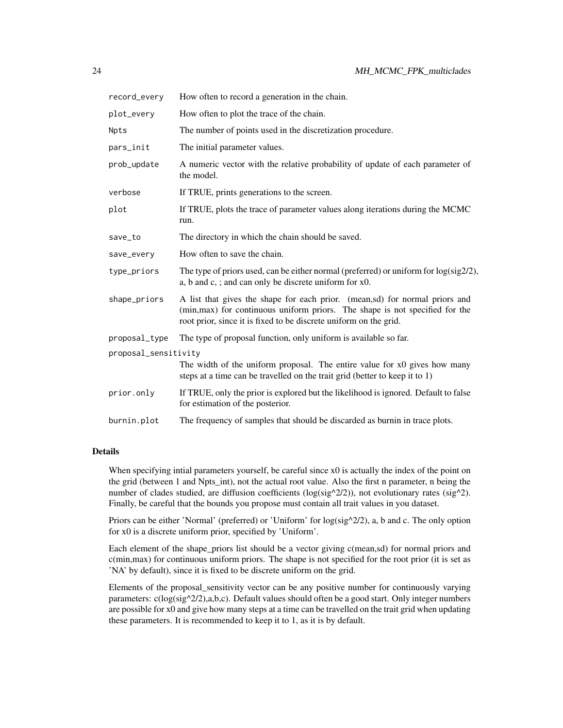| record_every         | How often to record a generation in the chain.                                                                                                                                                                                   |
|----------------------|----------------------------------------------------------------------------------------------------------------------------------------------------------------------------------------------------------------------------------|
| plot_every           | How often to plot the trace of the chain.                                                                                                                                                                                        |
| Npts                 | The number of points used in the discretization procedure.                                                                                                                                                                       |
| pars_init            | The initial parameter values.                                                                                                                                                                                                    |
| prob_update          | A numeric vector with the relative probability of update of each parameter of<br>the model.                                                                                                                                      |
| verbose              | If TRUE, prints generations to the screen.                                                                                                                                                                                       |
| plot                 | If TRUE, plots the trace of parameter values along iterations during the MCMC<br>run.                                                                                                                                            |
| save_to              | The directory in which the chain should be saved.                                                                                                                                                                                |
| save_every           | How often to save the chain.                                                                                                                                                                                                     |
| type_priors          | The type of priors used, can be either normal (preferred) or uniform for $log(sig2/2)$ ,<br>a, b and c, ; and can only be discrete uniform for x0.                                                                               |
| shape_priors         | A list that gives the shape for each prior. (mean,sd) for normal priors and<br>(min, max) for continuous uniform priors. The shape is not specified for the<br>root prior, since it is fixed to be discrete uniform on the grid. |
| proposal_type        | The type of proposal function, only uniform is available so far.                                                                                                                                                                 |
| proposal_sensitivity |                                                                                                                                                                                                                                  |
|                      | The width of the uniform proposal. The entire value for x0 gives how many<br>steps at a time can be travelled on the trait grid (better to keep it to 1)                                                                         |
| prior.only           | If TRUE, only the prior is explored but the likelihood is ignored. Default to false<br>for estimation of the posterior.                                                                                                          |
| burnin.plot          | The frequency of samples that should be discarded as burnin in trace plots.                                                                                                                                                      |

#### Details

When specifying intial parameters yourself, be careful since x0 is actually the index of the point on the grid (between 1 and Npts\_int), not the actual root value. Also the first n parameter, n being the number of clades studied, are diffusion coefficients ( $log(sign^2/2))$ , not evolutionary rates (sig^2). Finally, be careful that the bounds you propose must contain all trait values in you dataset.

Priors can be either 'Normal' (preferred) or 'Uniform' for  $log( sig^2/2/2)$ , a, b and c. The only option for x0 is a discrete uniform prior, specified by 'Uniform'.

Each element of the shape\_priors list should be a vector giving c(mean,sd) for normal priors and c(min,max) for continuous uniform priors. The shape is not specified for the root prior (it is set as 'NA' by default), since it is fixed to be discrete uniform on the grid.

Elements of the proposal\_sensitivity vector can be any positive number for continuously varying parameters: c(log(sig^2/2),a,b,c). Default values should often be a good start. Only integer numbers are possible for x0 and give how many steps at a time can be travelled on the trait grid when updating these parameters. It is recommended to keep it to 1, as it is by default.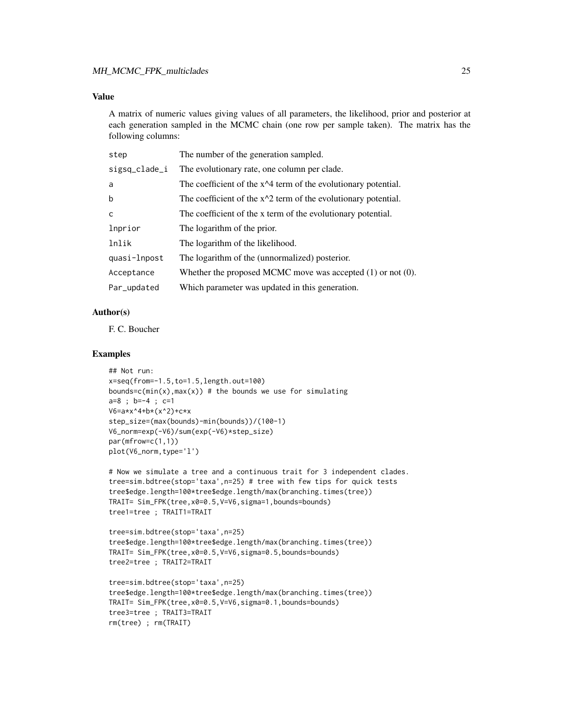## Value

A matrix of numeric values giving values of all parameters, the likelihood, prior and posterior at each generation sampled in the MCMC chain (one row per sample taken). The matrix has the following columns:

| step          | The number of the generation sampled.                            |
|---------------|------------------------------------------------------------------|
| sigsq_clade_i | The evolutionary rate, one column per clade.                     |
| a             | The coefficient of the $x^2$ term of the evolutionary potential. |
| b             | The coefficient of the $x^2$ term of the evolutionary potential. |
| $\mathsf{C}$  | The coefficient of the x term of the evolutionary potential.     |
| lnprior       | The logarithm of the prior.                                      |
| lnlik         | The logarithm of the likelihood.                                 |
| quasi-lnpost  | The logarithm of the (unnormalized) posterior.                   |
| Acceptance    | Whether the proposed MCMC move was accepted $(1)$ or not $(0)$ . |
| Par_updated   | Which parameter was updated in this generation.                  |

#### Author(s)

F. C. Boucher

## Examples

```
## Not run:
x=seq(from=-1.5,to=1.5,length.out=100)
bounds=c(min(x),max(x)) # the bounds we use for simulating
a=8 ; b=-4 ; c=1
V6=a*x^4+b*(x^2)+c*x
step_size=(max(bounds)-min(bounds))/(100-1)
V6_norm=exp(-V6)/sum(exp(-V6)*step_size)
par(mfrow=c(1,1))
plot(V6_norm,type='l')
```

```
# Now we simulate a tree and a continuous trait for 3 independent clades.
tree=sim.bdtree(stop='taxa',n=25) # tree with few tips for quick tests
tree$edge.length=100*tree$edge.length/max(branching.times(tree))
TRAIT= Sim_FPK(tree,x0=0.5,V=V6,sigma=1,bounds=bounds)
tree1=tree ; TRAIT1=TRAIT
```

```
tree=sim.bdtree(stop='taxa',n=25)
tree$edge.length=100*tree$edge.length/max(branching.times(tree))
TRAIT= Sim_FPK(tree,x0=0.5,V=V6,sigma=0.5,bounds=bounds)
tree2=tree ; TRAIT2=TRAIT
```

```
tree=sim.bdtree(stop='taxa',n=25)
tree$edge.length=100*tree$edge.length/max(branching.times(tree))
TRAIT= Sim_FPK(tree,x0=0.5,V=V6,sigma=0.1,bounds=bounds)
tree3=tree ; TRAIT3=TRAIT
rm(tree) ; rm(TRAIT)
```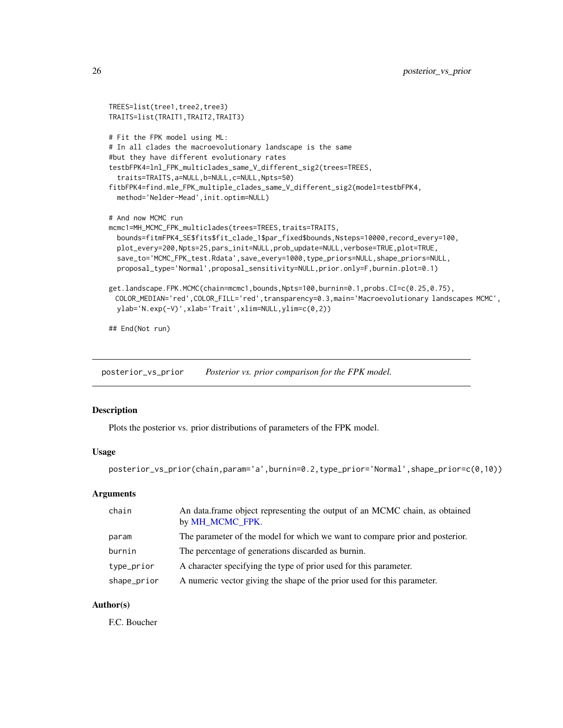```
TREES=list(tree1,tree2,tree3)
TRAITS=list(TRAIT1,TRAIT2,TRAIT3)
# Fit the FPK model using ML:
# In all clades the macroevolutionary landscape is the same
#but they have different evolutionary rates
testbFPK4=lnl_FPK_multiclades_same_V_different_sig2(trees=TREES,
 traits=TRAITS,a=NULL,b=NULL,c=NULL,Npts=50)
fitbFPK4=find.mle_FPK_multiple_clades_same_V_different_sig2(model=testbFPK4,
 method='Nelder-Mead',init.optim=NULL)
# And now MCMC run
mcmc1=MH_MCMC_FPK_multiclades(trees=TREES,traits=TRAITS,
 bounds=fitmFPK4_SE$fits$fit_clade_1$par_fixed$bounds,Nsteps=10000,record_every=100,
 plot_every=200,Npts=25,pars_init=NULL,prob_update=NULL,verbose=TRUE,plot=TRUE,
 save_to='MCMC_FPK_test.Rdata',save_every=1000,type_priors=NULL,shape_priors=NULL,
 proposal_type='Normal',proposal_sensitivity=NULL,prior.only=F,burnin.plot=0.1)
get.landscape.FPK.MCMC(chain=mcmc1,bounds,Npts=100,burnin=0.1,probs.CI=c(0.25,0.75),
 COLOR_MEDIAN='red',COLOR_FILL='red',transparency=0.3,main='Macroevolutionary landscapes MCMC',
 ylab='N.exp(-V)',xlab='Trait',xlim=NULL,ylim=c(0,2))
```
## End(Not run)

posterior\_vs\_prior *Posterior vs. prior comparison for the FPK model.*

#### Description

Plots the posterior vs. prior distributions of parameters of the FPK model.

#### Usage

```
posterior_vs_prior(chain,param='a',burnin=0.2,type_prior='Normal',shape_prior=c(0,10))
```
## **Arguments**

| chain       | An data.frame object representing the output of an MCMC chain, as obtained<br>by MH_MCMC_FPK. |
|-------------|-----------------------------------------------------------------------------------------------|
| param       | The parameter of the model for which we want to compare prior and posterior.                  |
| burnin      | The percentage of generations discarded as burnin.                                            |
| type_prior  | A character specifying the type of prior used for this parameter.                             |
| shape_prior | A numeric vector giving the shape of the prior used for this parameter.                       |

## Author(s)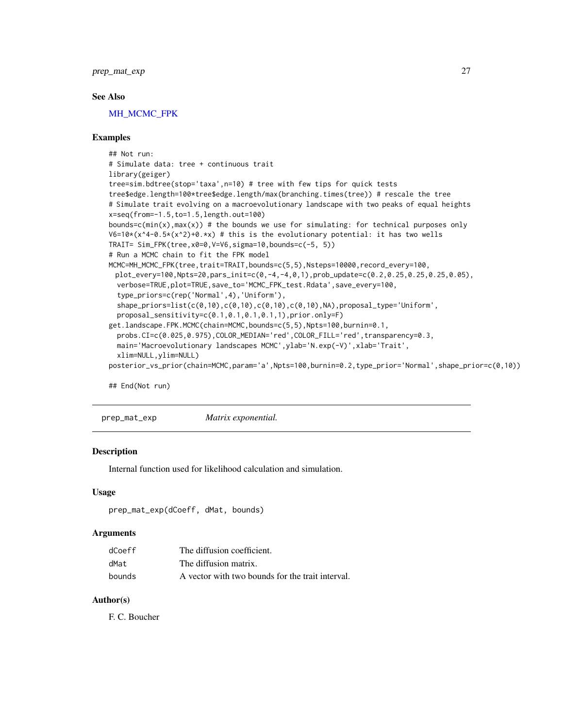<span id="page-26-0"></span>prep\_mat\_exp 27

#### See Also

[MH\\_MCMC\\_FPK](#page-20-1)

## Examples

```
## Not run:
# Simulate data: tree + continuous trait
library(geiger)
tree=sim.bdtree(stop='taxa',n=10) # tree with few tips for quick tests
tree$edge.length=100*tree$edge.length/max(branching.times(tree)) # rescale the tree
# Simulate trait evolving on a macroevolutionary landscape with two peaks of equal heights
x=seq(from=-1.5,to=1.5,length.out=100)
bounds=c(min(x), max(x)) # the bounds we use for simulating: for technical purposes only
V6=10*(x^4-0.5*(x^2)+0.*x) # this is the evolutionary potential: it has two wells
TRAIT= Sim_FPK(tree,x0=0,V=V6,sigma=10,bounds=c(-5, 5))
# Run a MCMC chain to fit the FPK model
MCMC=MH_MCMC_FPK(tree,trait=TRAIT,bounds=c(5,5),Nsteps=10000,record_every=100,
 plot_every=100,Npts=20,pars_init=c(0,-4,-4,0,1),prob_update=c(0.2,0.25,0.25,0.25,0.05),
  verbose=TRUE,plot=TRUE,save_to='MCMC_FPK_test.Rdata',save_every=100,
  type_priors=c(rep('Normal',4),'Uniform'),
  shape_priors=list(c(0,10),c(0,10),c(0,10),c(0,10),NA),proposal_type='Uniform',
  proposal_sensitivity=c(0.1,0.1,0.1,0.1,1),prior.only=F)
get.landscape.FPK.MCMC(chain=MCMC,bounds=c(5,5),Npts=100,burnin=0.1,
  probs.CI=c(0.025,0.975),COLOR_MEDIAN='red',COLOR_FILL='red',transparency=0.3,
  main='Macroevolutionary landscapes MCMC', ylab='N.exp(-V)', xlab='Trait',
  xlim=NULL,ylim=NULL)
posterior_vs_prior(chain=MCMC,param='a',Npts=100,burnin=0.2,type_prior='Normal',shape_prior=c(0,10))
```
## End(Not run)

prep\_mat\_exp *Matrix exponential.*

#### Description

Internal function used for likelihood calculation and simulation.

#### Usage

```
prep_mat_exp(dCoeff, dMat, bounds)
```
#### Arguments

| dCoeff | The diffusion coefficient.                       |
|--------|--------------------------------------------------|
| dMat   | The diffusion matrix.                            |
| bounds | A vector with two bounds for the trait interval. |

## Author(s)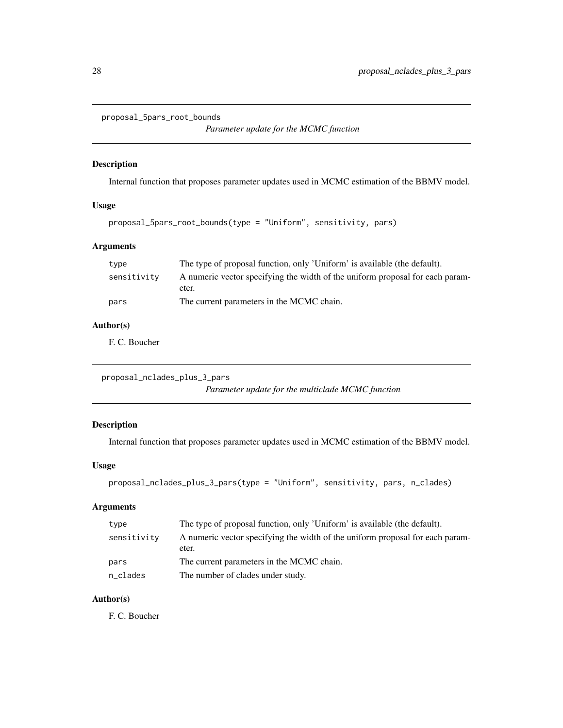```
proposal_5pars_root_bounds
```
*Parameter update for the MCMC function*

## Description

Internal function that proposes parameter updates used in MCMC estimation of the BBMV model.

## Usage

```
proposal_5pars_root_bounds(type = "Uniform", sensitivity, pars)
```
## Arguments

| type        | The type of proposal function, only 'Uniform' is available (the default).     |  |
|-------------|-------------------------------------------------------------------------------|--|
| sensitivity | A numeric vector specifying the width of the uniform proposal for each param- |  |
|             | eter.                                                                         |  |
| pars        | The current parameters in the MCMC chain.                                     |  |

## Author(s)

F. C. Boucher

proposal\_nclades\_plus\_3\_pars *Parameter update for the multiclade MCMC function*

## Description

Internal function that proposes parameter updates used in MCMC estimation of the BBMV model.

## Usage

```
proposal_nclades_plus_3_pars(type = "Uniform", sensitivity, pars, n_clades)
```
## Arguments

| type        | The type of proposal function, only 'Uniform' is available (the default).              |
|-------------|----------------------------------------------------------------------------------------|
| sensitivity | A numeric vector specifying the width of the uniform proposal for each param-<br>eter. |
| pars        | The current parameters in the MCMC chain.                                              |
| n_clades    | The number of clades under study.                                                      |

## Author(s)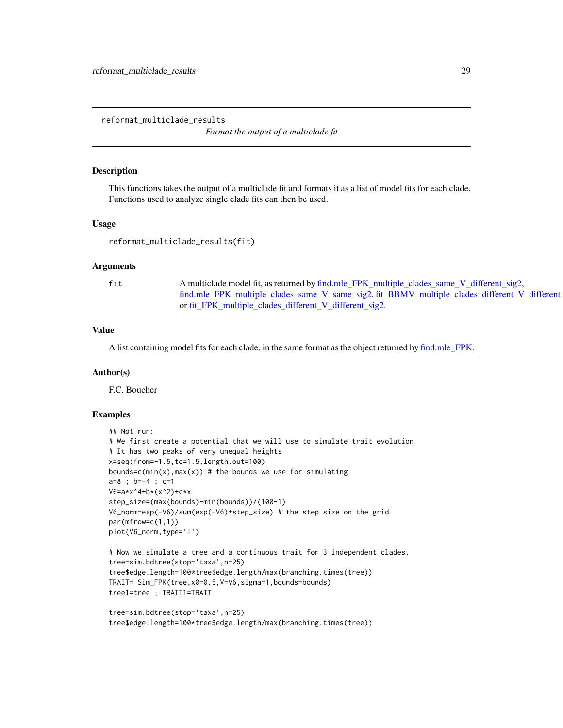<span id="page-28-0"></span>reformat\_multiclade\_results

*Format the output of a multiclade fit*

#### Description

This functions takes the output of a multiclade fit and formats it as a list of model fits for each clade. Functions used to analyze single clade fits can then be used.

#### Usage

```
reformat_multiclade_results(fit)
```
#### Arguments

fit A multiclade model fit, as returned by [find.mle\\_FPK\\_multiple\\_clades\\_same\\_V\\_different\\_sig2,](#page-7-1) [find.mle\\_FPK\\_multiple\\_clades\\_same\\_V\\_same\\_sig2,](#page-7-2) fit\_BBMV\_multiple\_clades\_different\_V\_different or [fit\\_FPK\\_multiple\\_clades\\_different\\_V\\_different\\_sig2.](#page-8-2)

#### Value

A list containing model fits for each clade, in the same format as the object returned by [find.mle\\_FPK.](#page-6-1)

#### Author(s)

F.C. Boucher

#### Examples

```
## Not run:
# We first create a potential that we will use to simulate trait evolution
# It has two peaks of very unequal heights
x=seq(from=-1.5,to=1.5,length.out=100)
bounds=c(min(x),max(x)) # the bounds we use for simulating
a=8 ; b=-4 ; c=1
V6 = a * x^4 + b * (x^2) + c * xstep_size=(max(bounds)-min(bounds))/(100-1)
V6_norm=exp(-V6)/sum(exp(-V6)*step_size) # the step size on the grid
par(mfrow=c(1,1))
plot(V6_norm,type='l')
# Now we simulate a tree and a continuous trait for 3 independent clades.
tree=sim.bdtree(stop='taxa',n=25)
tree$edge.length=100*tree$edge.length/max(branching.times(tree))
TRAIT= Sim_FPK(tree,x0=0.5,V=V6,sigma=1,bounds=bounds)
tree1=tree ; TRAIT1=TRAIT
tree=sim.bdtree(stop='taxa',n=25)
tree$edge.length=100*tree$edge.length/max(branching.times(tree))
```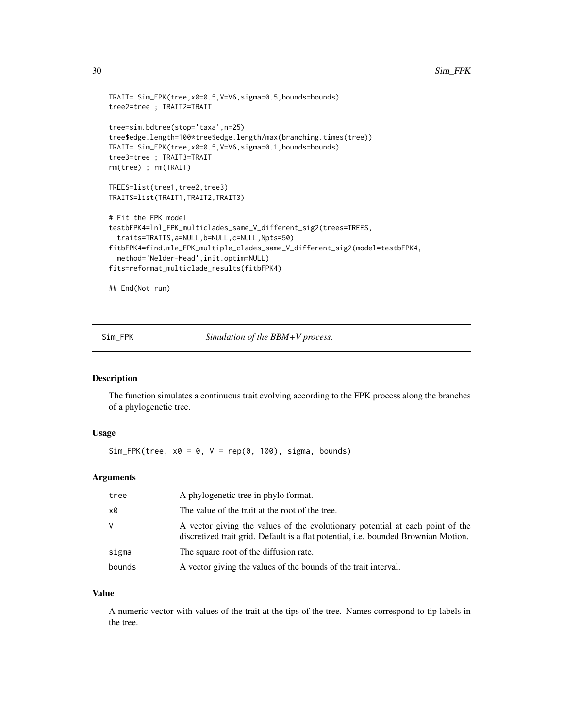```
TRAIT= Sim_FPK(tree,x0=0.5,V=V6,sigma=0.5,bounds=bounds)
tree2=tree ; TRAIT2=TRAIT
tree=sim.bdtree(stop='taxa',n=25)
tree$edge.length=100*tree$edge.length/max(branching.times(tree))
TRAIT= Sim_FPK(tree,x0=0.5,V=V6,sigma=0.1,bounds=bounds)
tree3=tree ; TRAIT3=TRAIT
rm(tree) ; rm(TRAIT)
TREES=list(tree1,tree2,tree3)
TRAITS=list(TRAIT1,TRAIT2,TRAIT3)
# Fit the FPK model
testbFPK4=lnl_FPK_multiclades_same_V_different_sig2(trees=TREES,
 traits=TRAITS,a=NULL,b=NULL,c=NULL,Npts=50)
fitbFPK4=find.mle_FPK_multiple_clades_same_V_different_sig2(model=testbFPK4,
 method='Nelder-Mead',init.optim=NULL)
fits=reformat_multiclade_results(fitbFPK4)
```
## End(Not run)

<span id="page-29-1"></span>Sim\_FPK *Simulation of the BBM+V process.*

#### Description

The function simulates a continuous trait evolving according to the FPK process along the branches of a phylogenetic tree.

## Usage

 $Sim_FPK(tree, x0 = 0, V = rep(0, 100), sigma, bounds)$ 

#### **Arguments**

| tree   | A phylogenetic tree in phylo format.                                                                                                                                |
|--------|---------------------------------------------------------------------------------------------------------------------------------------------------------------------|
| x0     | The value of the trait at the root of the tree.                                                                                                                     |
| V      | A vector giving the values of the evolutionary potential at each point of the<br>discretized trait grid. Default is a flat potential, i.e. bounded Brownian Motion. |
| sigma  | The square root of the diffusion rate.                                                                                                                              |
| bounds | A vector giving the values of the bounds of the trait interval.                                                                                                     |

## Value

A numeric vector with values of the trait at the tips of the tree. Names correspond to tip labels in the tree.

<span id="page-29-0"></span>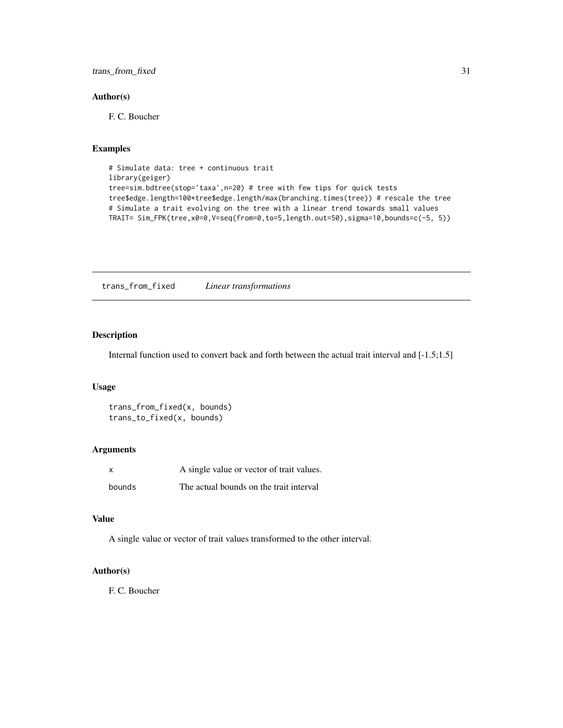## <span id="page-30-0"></span>trans\_from\_fixed 31

## Author(s)

F. C. Boucher

## Examples

```
# Simulate data: tree + continuous trait
library(geiger)
tree=sim.bdtree(stop='taxa',n=20) # tree with few tips for quick tests
tree$edge.length=100*tree$edge.length/max(branching.times(tree)) # rescale the tree
# Simulate a trait evolving on the tree with a linear trend towards small values
TRAIT= Sim_FPK(tree, x0=0, V=seq(frome0, to=5, length.out=50), sigma=10, bounds=c(-5, 5))
```
trans\_from\_fixed *Linear transformations*

## Description

Internal function used to convert back and forth between the actual trait interval and [-1.5;1.5]

#### Usage

trans\_from\_fixed(x, bounds) trans\_to\_fixed(x, bounds)

## Arguments

| X      | A single value or vector of trait values. |
|--------|-------------------------------------------|
| bounds | The actual bounds on the trait interval   |

#### Value

A single value or vector of trait values transformed to the other interval.

## Author(s)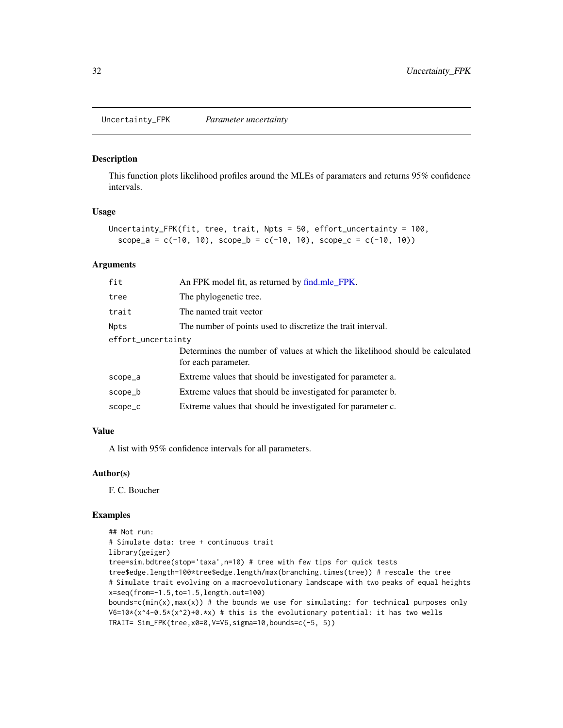<span id="page-31-0"></span>Uncertainty\_FPK *Parameter uncertainty*

#### Description

This function plots likelihood profiles around the MLEs of paramaters and returns 95% confidence intervals.

## Usage

```
Uncertainty_FPK(fit, tree, trait, Npts = 50, effort_uncertainty = 100,
  scope_a = c(-10, 10), scope_b = c(-10, 10), scope_c = c(-10, 10)
```
#### Arguments

| fit                | An FPK model fit, as returned by find mle_FPK.                                                      |  |
|--------------------|-----------------------------------------------------------------------------------------------------|--|
| tree               | The phylogenetic tree.                                                                              |  |
| trait              | The named trait vector                                                                              |  |
| Npts               | The number of points used to discretize the trait interval.                                         |  |
| effort_uncertainty |                                                                                                     |  |
|                    | Determines the number of values at which the likelihood should be calculated<br>for each parameter. |  |
| scope_a            | Extreme values that should be investigated for parameter a.                                         |  |
| scope_b            | Extreme values that should be investigated for parameter b.                                         |  |
| scope_c            | Extreme values that should be investigated for parameter c.                                         |  |

#### Value

A list with 95% confidence intervals for all parameters.

#### Author(s)

F. C. Boucher

## Examples

```
## Not run:
# Simulate data: tree + continuous trait
library(geiger)
tree=sim.bdtree(stop='taxa',n=10) # tree with few tips for quick tests
tree$edge.length=100*tree$edge.length/max(branching.times(tree)) # rescale the tree
# Simulate trait evolving on a macroevolutionary landscape with two peaks of equal heights
x=seq(from=-1.5,to=1.5,length.out=100)
bounds=c(min(x),max(x)) # the bounds we use for simulating: for technical purposes only
V6=10*(x^4-0.5*(x^2)+0.*x) # this is the evolutionary potential: it has two wells
TRAIT= Sim_FPK(tree,x0=0,V=V6,sigma=10,bounds=c(-5, 5))
```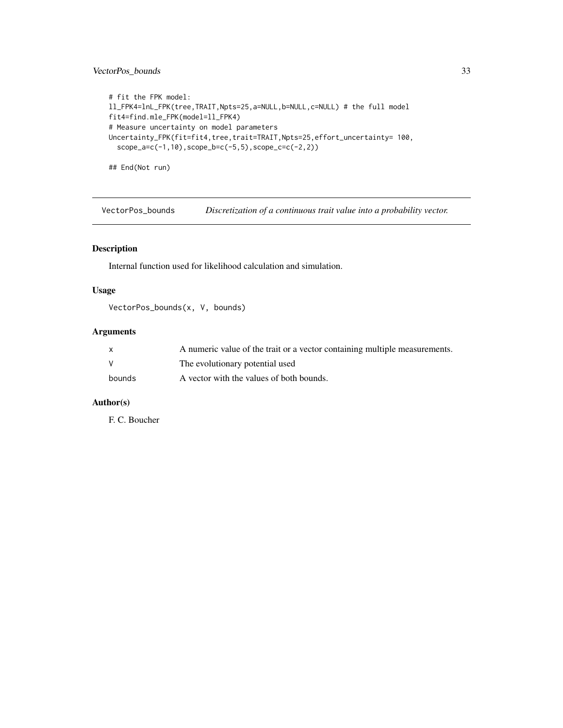## <span id="page-32-0"></span>VectorPos\_bounds 33

```
# fit the FPK model:
ll_FPK4=lnL_FPK(tree,TRAIT,Npts=25,a=NULL,b=NULL,c=NULL) # the full model
fit4=find.mle_FPK(model=ll_FPK4)
# Measure uncertainty on model parameters
Uncertainty_FPK(fit=fit4,tree,trait=TRAIT,Npts=25,effort_uncertainty= 100,
  scope_a=c(-1,10),scope_b=c(-5,5),scope_c=c(-2,2))
```
## End(Not run)

VectorPos\_bounds *Discretization of a continuous trait value into a probability vector.*

## Description

Internal function used for likelihood calculation and simulation.

## Usage

VectorPos\_bounds(x, V, bounds)

#### Arguments

|              | A numeric value of the trait or a vector containing multiple measurements. |
|--------------|----------------------------------------------------------------------------|
| $\mathsf{V}$ | The evolutionary potential used                                            |
| bounds       | A vector with the values of both bounds.                                   |

## Author(s)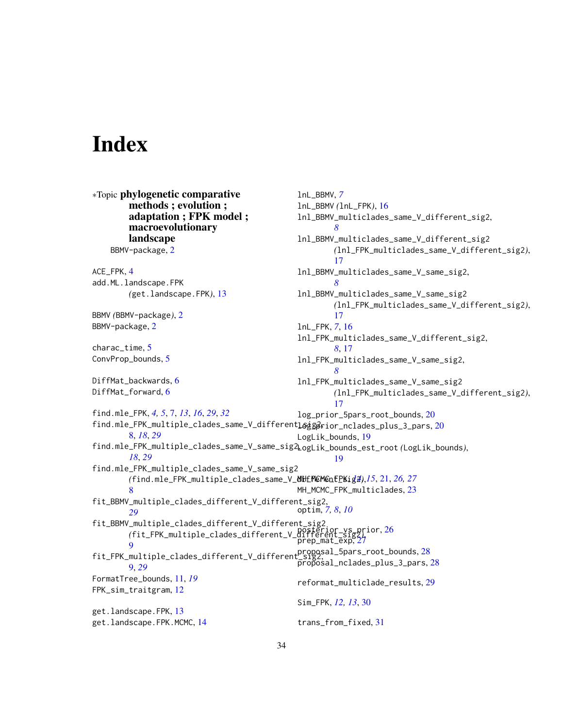# <span id="page-33-0"></span>**Index**

∗Topic phylogenetic comparative methods ; evolution ; adaptation ; FPK model ; macroevolutionary landscape BBMV-package, [2](#page-1-0) ACE\_FPK, [4](#page-3-0) add.ML.landscape.FPK *(*get.landscape.FPK*)*, [13](#page-12-0) BBMV *(*BBMV-package*)*, [2](#page-1-0) BBMV-package, [2](#page-1-0) charac\_time, [5](#page-4-0) ConvProp\_bounds, [5](#page-4-0) DiffMat\_backwards, [6](#page-5-0) DiffMat\_forward, [6](#page-5-0) find.mle\_FPK, *[4,](#page-3-0) [5](#page-4-0)*, [7,](#page-6-0) *[13](#page-12-0)*, *[16](#page-15-0)*, *[29](#page-28-0)*, *[32](#page-31-0)* find.mle\_FPK\_multiple\_clades\_same\_V\_different**l**&gg&rior\_nclades\_plus\_3\_pars,[20](#page-19-0) [8,](#page-7-0) *[18](#page-17-0)*, *[29](#page-28-0)* find.mle\_FPK\_multiple\_clades\_same\_V\_same\_sig2, LogLik\_bounds\_est\_root *(*LogLik\_bounds*)*, *[18](#page-17-0)*, *[29](#page-28-0)* find.mle\_FPK\_multiple\_clades\_same\_V\_same\_sig2 *(*find.mle\_FPK\_multiple\_clades\_same\_V\_different\_sig2*)*, MH\_MCMC\_FPK, *[14,](#page-13-0) [15](#page-14-0)*, [21,](#page-20-0) *[26,](#page-25-0) [27](#page-26-0)* [8](#page-7-0) fit\_BBMV\_multiple\_clades\_different\_V\_different\_sig2, *[29](#page-28-0)* optim, *[7,](#page-6-0) [8](#page-7-0)*, *[10](#page-9-0)* fit\_BBMV\_multiple\_clades\_different\_V\_different\_sig2 *(*fit\_FPK\_multiple\_clades\_different\_V\_different\_sig2*)*, posterior\_vs\_prior, [26](#page-25-0) [9](#page-8-0) fit\_FPK\_multiple\_clades\_different\_V\_different\_sig2, proposal\_5pars\_root\_bounds, [28](#page-27-0) [9,](#page-8-0) *[29](#page-28-0)* FormatTree\_bounds, [11,](#page-10-0) *[19](#page-18-0)* FPK\_sim\_traitgram, [12](#page-11-0) get.landscape.FPK, [13](#page-12-0) get.landscape.FPK.MCMC, [14](#page-13-0) lnL\_BBMV, *[7](#page-6-0)* lnL\_BBMV *(*lnL\_FPK*)*, [16](#page-15-0) lnl\_BBMV\_multiclades\_same\_V\_different\_sig2, *[8](#page-7-0)* lnl\_BBMV\_multiclades\_same\_V\_different\_sig2 *(*lnl\_FPK\_multiclades\_same\_V\_different\_sig2*)*, [17](#page-16-0) lnl\_BBMV\_multiclades\_same\_V\_same\_sig2, *[8](#page-7-0)* lnl\_BBMV\_multiclades\_same\_V\_same\_sig2 *(*lnl\_FPK\_multiclades\_same\_V\_different\_sig2*)*, [17](#page-16-0) lnL\_FPK, *[7](#page-6-0)*, [16](#page-15-0) lnl\_FPK\_multiclades\_same\_V\_different\_sig2, *[8](#page-7-0)*, [17](#page-16-0) lnl\_FPK\_multiclades\_same\_V\_same\_sig2, *[8](#page-7-0)* lnl\_FPK\_multiclades\_same\_V\_same\_sig2 *(*lnl\_FPK\_multiclades\_same\_V\_different\_sig2*)*, [17](#page-16-0) log\_prior\_5pars\_root\_bounds, [20](#page-19-0) LogLik\_bounds, [19](#page-18-0) [19](#page-18-0) MH\_MCMC\_FPK\_multiclades, [23](#page-22-0) prep\_mat\_exp,[27](#page-26-0)  $\overline{p}$ r $\overline{q}$  $\overline{p}$ c $\overline{q}$ sal\_nclades\_plus\_3\_pars, [28](#page-27-0) reformat\_multiclade\_results, [29](#page-28-0) Sim\_FPK, *[12,](#page-11-0) [13](#page-12-0)*, [30](#page-29-0) trans\_from\_fixed, [31](#page-30-0)